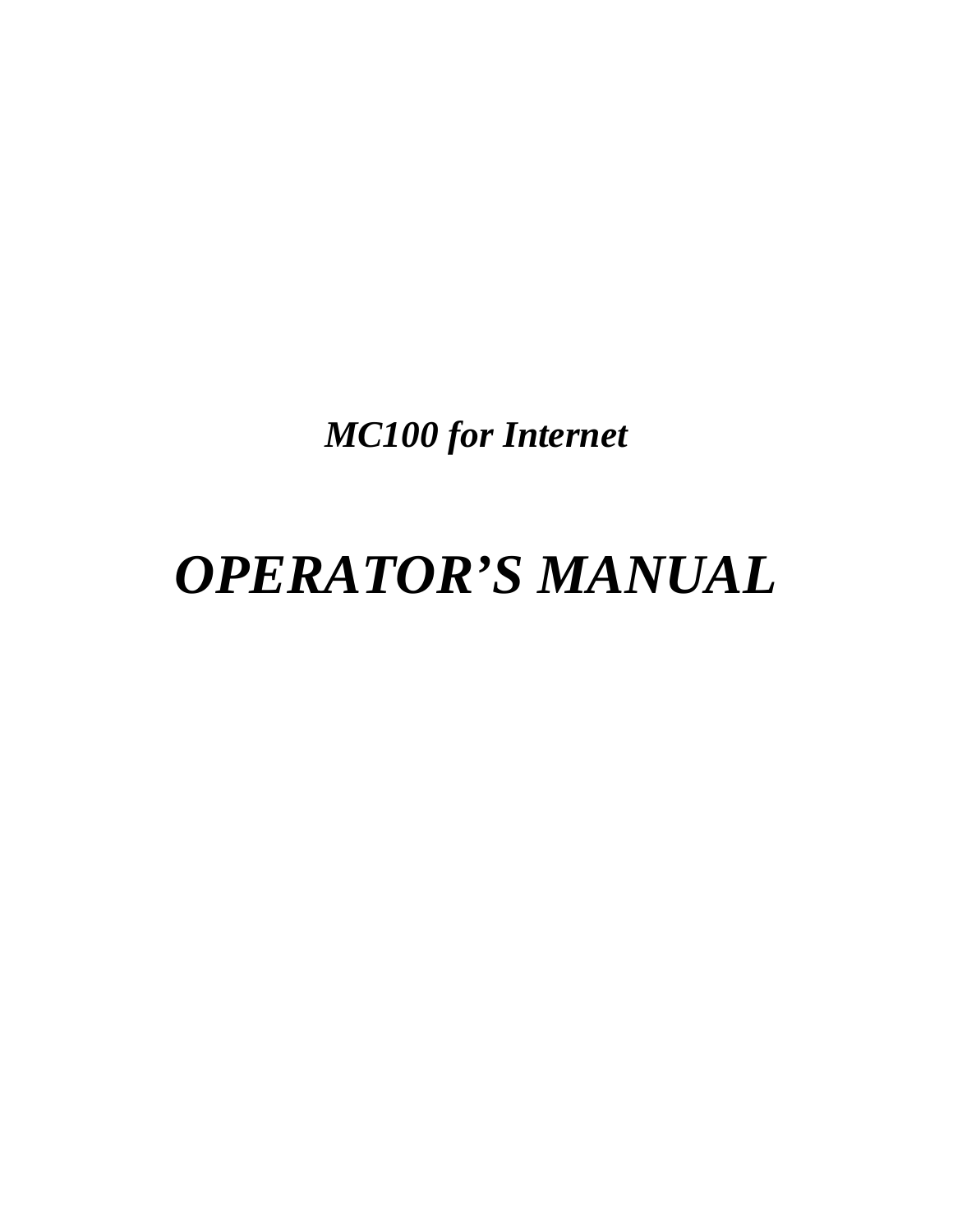*MC100 for Internet* 

# *OPERATOR'S MANUAL*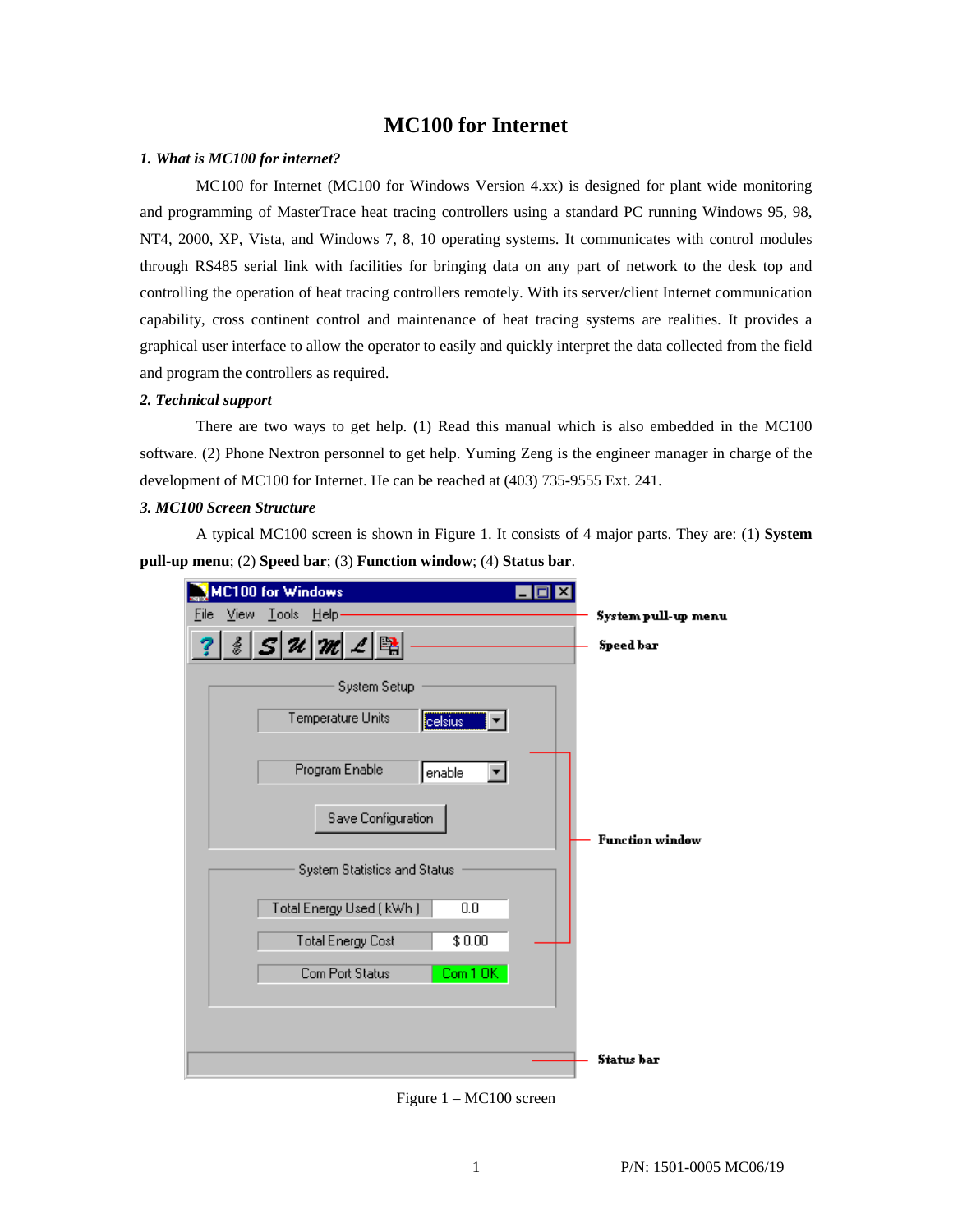## **MC100 for Internet**

#### *1. What is MC100 for internet?*

MC100 for Internet (MC100 for Windows Version 4.xx) is designed for plant wide monitoring and programming of MasterTrace heat tracing controllers using a standard PC running Windows 95, 98, NT4, 2000, XP, Vista, and Windows 7, 8, 10 operating systems. It communicates with control modules through RS485 serial link with facilities for bringing data on any part of network to the desk top and controlling the operation of heat tracing controllers remotely. With its server/client Internet communication capability, cross continent control and maintenance of heat tracing systems are realities. It provides a graphical user interface to allow the operator to easily and quickly interpret the data collected from the field and program the controllers as required.

#### *2. Technical support*

There are two ways to get help. (1) Read this manual which is also embedded in the MC100 software. (2) Phone Nextron personnel to get help. Yuming Zeng is the engineer manager in charge of the development of MC100 for Internet. He can be reached at (403) 735-9555 Ext. 241.

#### *3. MC100 Screen Structure*

A typical MC100 screen is shown in Figure 1. It consists of 4 major parts. They are: (1) **System pull-up menu**; (2) **Speed bar**; (3) **Function window**; (4) **Status bar**.



Figure 1 – MC100 screen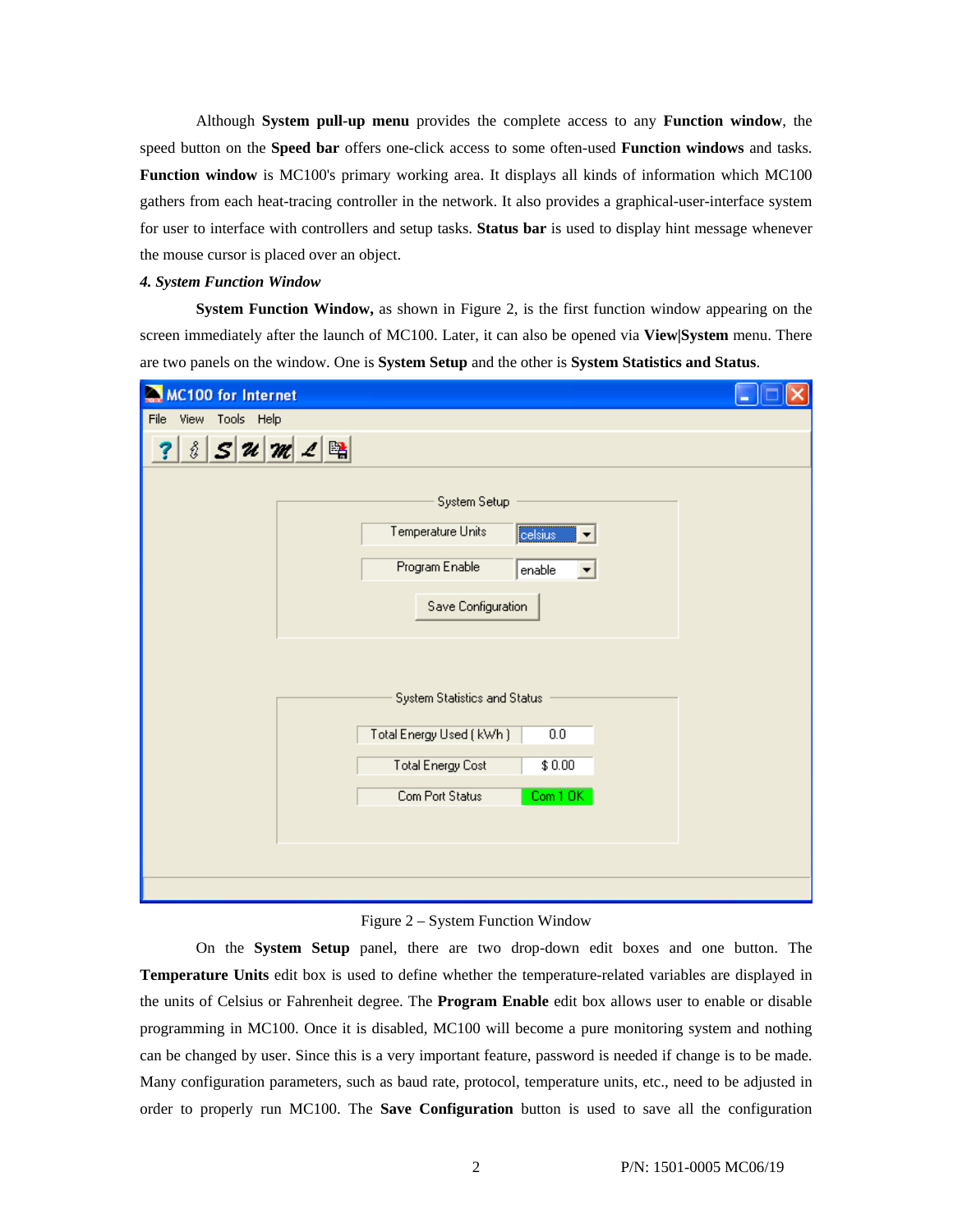Although **System pull-up menu** provides the complete access to any **Function window**, the speed button on the **Speed bar** offers one-click access to some often-used **Function windows** and tasks. **Function window** is MC100's primary working area. It displays all kinds of information which MC100 gathers from each heat-tracing controller in the network. It also provides a graphical-user-interface system for user to interface with controllers and setup tasks. **Status bar** is used to display hint message whenever the mouse cursor is placed over an object.

#### *4. System Function Window*

**System Function Window,** as shown in Figure 2, is the first function window appearing on the screen immediately after the launch of MC100. Later, it can also be opened via **View|System** menu. There are two panels on the window. One is **System Setup** and the other is **System Statistics and Status**.

| <b>MC100 for Internet</b><br>$\sum_{i=1}^{n}$                               |                                                      |  |
|-----------------------------------------------------------------------------|------------------------------------------------------|--|
| View Tools Help<br>File                                                     |                                                      |  |
| $S$ $\mathcal{U}$ $\mathcal{M}$ $\mathcal{L}$ $\mathbb{B}$<br>$\frac{8}{2}$ |                                                      |  |
|                                                                             | System Setup                                         |  |
|                                                                             | Temperature Units<br>celsius<br>$\blacktriangledown$ |  |
|                                                                             | Program Enable<br>enable<br>▼                        |  |
|                                                                             | Save Configuration                                   |  |
|                                                                             |                                                      |  |
|                                                                             | System Statistics and Status                         |  |
|                                                                             | Total Energy Used ( kWh )<br>0.0                     |  |
|                                                                             | <b>Total Energy Cost</b><br>\$0.00                   |  |
|                                                                             | Com Port Status<br>Com 10K                           |  |
|                                                                             |                                                      |  |
|                                                                             |                                                      |  |
|                                                                             |                                                      |  |

Figure 2 – System Function Window

On the **System Setup** panel, there are two drop-down edit boxes and one button. The **Temperature Units** edit box is used to define whether the temperature-related variables are displayed in the units of Celsius or Fahrenheit degree. The **Program Enable** edit box allows user to enable or disable programming in MC100. Once it is disabled, MC100 will become a pure monitoring system and nothing can be changed by user. Since this is a very important feature, password is needed if change is to be made. Many configuration parameters, such as baud rate, protocol, temperature units, etc., need to be adjusted in order to properly run MC100. The **Save Configuration** button is used to save all the configuration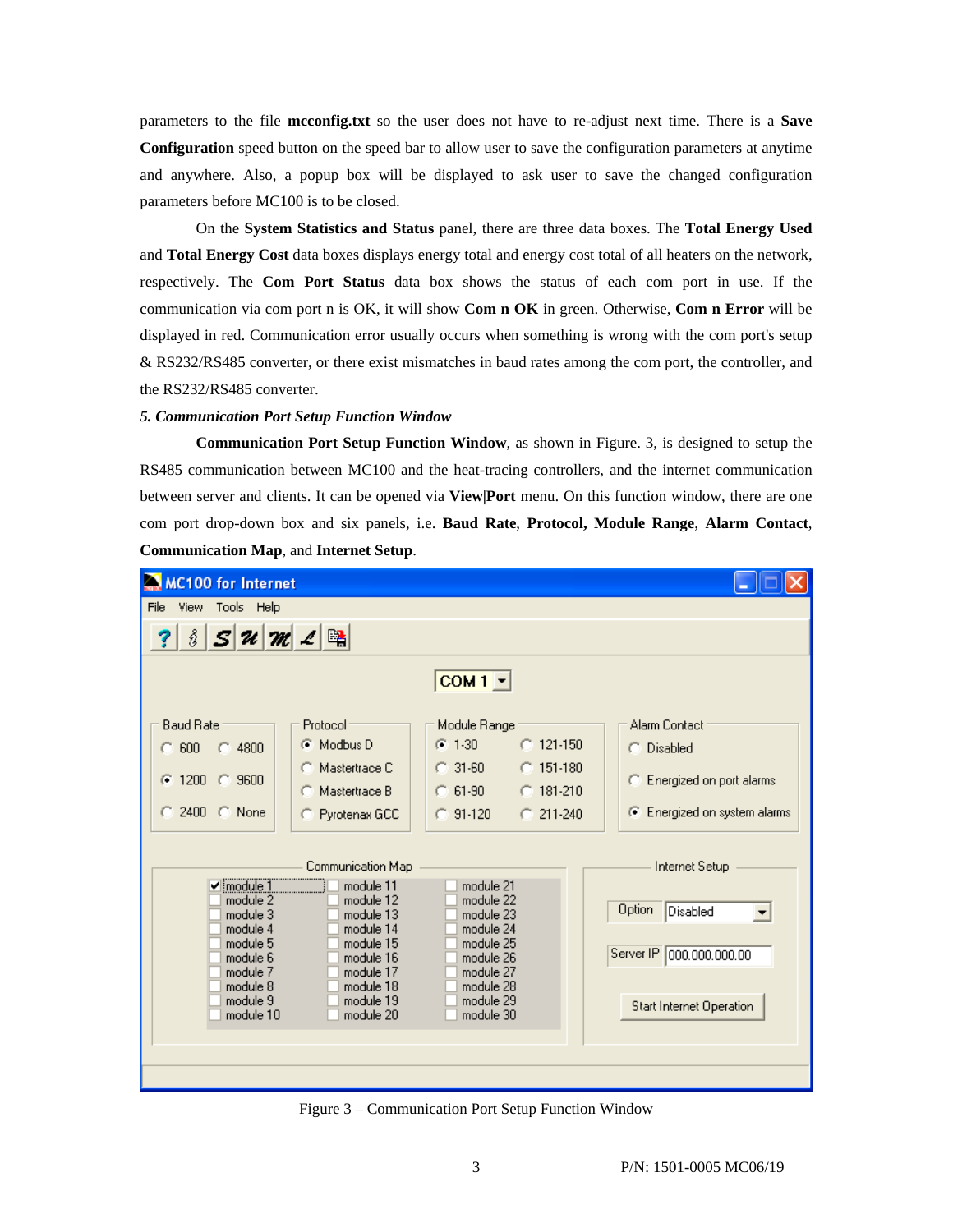parameters to the file **mcconfig.txt** so the user does not have to re-adjust next time. There is a **Save Configuration** speed button on the speed bar to allow user to save the configuration parameters at anytime and anywhere. Also, a popup box will be displayed to ask user to save the changed configuration parameters before MC100 is to be closed.

On the **System Statistics and Status** panel, there are three data boxes. The **Total Energy Used** and **Total Energy Cost** data boxes displays energy total and energy cost total of all heaters on the network, respectively. The **Com Port Status** data box shows the status of each com port in use. If the communication via com port n is OK, it will show **Com n OK** in green. Otherwise, **Com n Error** will be displayed in red. Communication error usually occurs when something is wrong with the com port's setup & RS232/RS485 converter, or there exist mismatches in baud rates among the com port, the controller, and the RS232/RS485 converter.

#### *5. Communication Port Setup Function Window*

**Communication Port Setup Function Window**, as shown in Figure. 3, is designed to setup the RS485 communication between MC100 and the heat-tracing controllers, and the internet communication between server and clients. It can be opened via **View|Port** menu. On this function window, there are one com port drop-down box and six panels, i.e. **Baud Rate**, **Protocol, Module Range**, **Alarm Contact**, **Communication Map**, and **Internet Setup**.



Figure 3 – Communication Port Setup Function Window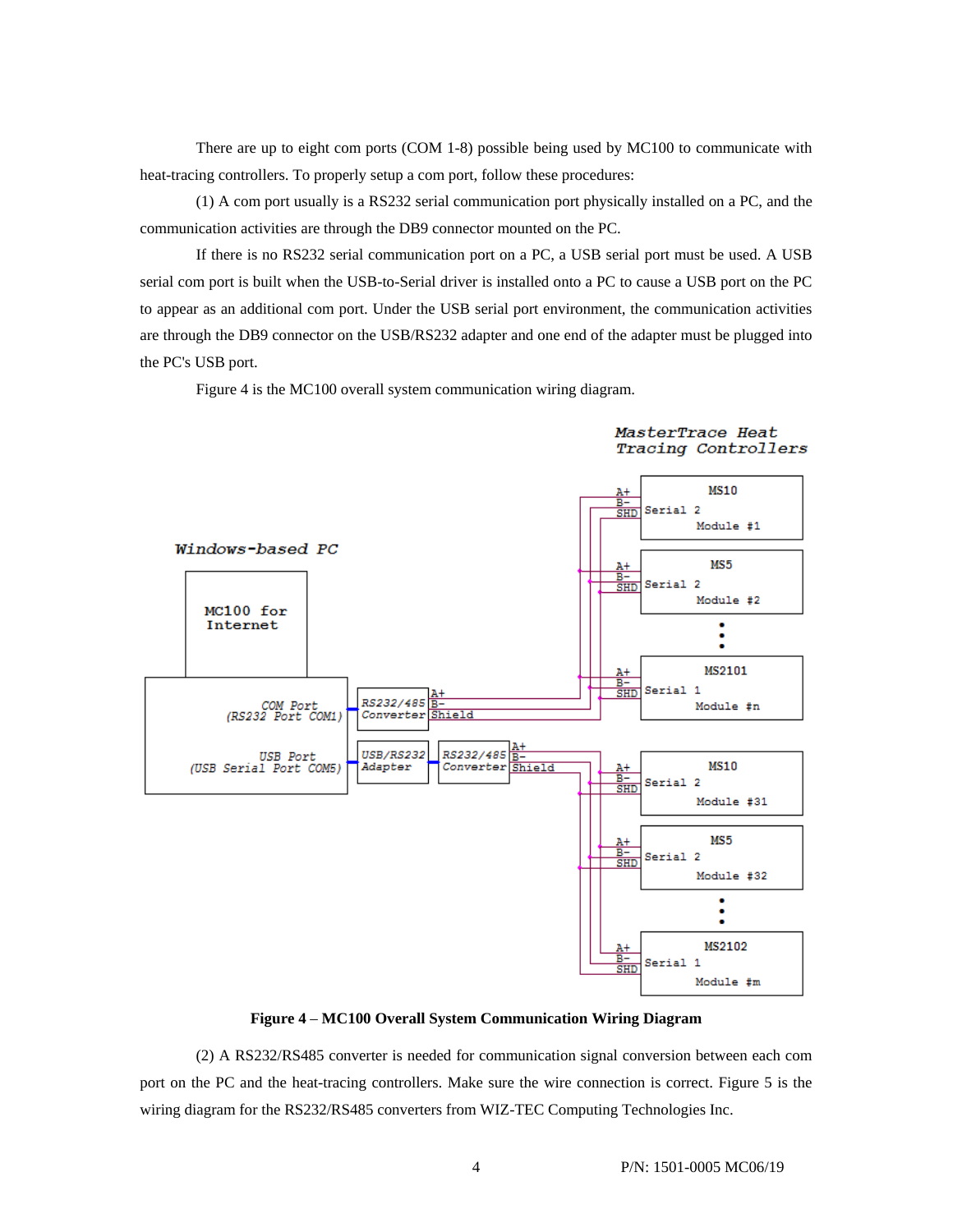There are up to eight com ports (COM 1-8) possible being used by MC100 to communicate with heat-tracing controllers. To properly setup a com port, follow these procedures:

(1) A com port usually is a RS232 serial communication port physically installed on a PC, and the communication activities are through the DB9 connector mounted on the PC.

If there is no RS232 serial communication port on a PC, a USB serial port must be used. A USB serial com port is built when the USB-to-Serial driver is installed onto a PC to cause a USB port on the PC to appear as an additional com port. Under the USB serial port environment, the communication activities are through the DB9 connector on the USB/RS232 adapter and one end of the adapter must be plugged into the PC's USB port.

Figure 4 is the MC100 overall system communication wiring diagram.



MasterTrace Heat Tracing Controllers

**Figure 4** – **MC100 Overall System Communication Wiring Diagram** 

(2) A RS232/RS485 converter is needed for communication signal conversion between each com port on the PC and the heat-tracing controllers. Make sure the wire connection is correct. Figure 5 is the wiring diagram for the RS232/RS485 converters from WIZ-TEC Computing Technologies Inc.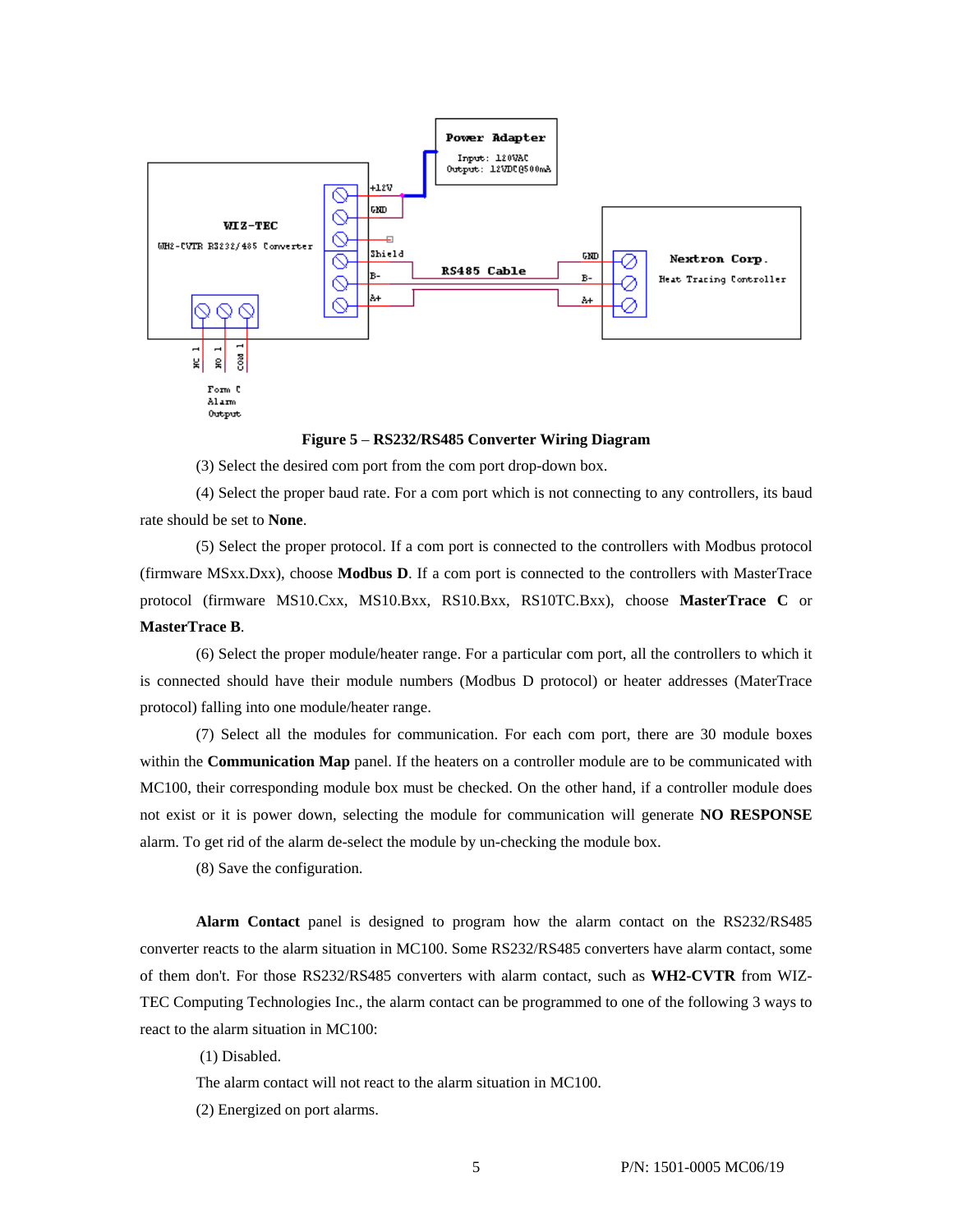

**Figure 5** – **RS232/RS485 Converter Wiring Diagram** 

(3) Select the desired com port from the com port drop-down box.

(4) Select the proper baud rate. For a com port which is not connecting to any controllers, its baud rate should be set to **None**.

(5) Select the proper protocol. If a com port is connected to the controllers with Modbus protocol (firmware MSxx.Dxx), choose **Modbus D**. If a com port is connected to the controllers with MasterTrace protocol (firmware MS10.Cxx, MS10.Bxx, RS10.Bxx, RS10TC.Bxx), choose **MasterTrace C** or **MasterTrace B**.

(6) Select the proper module/heater range. For a particular com port, all the controllers to which it is connected should have their module numbers (Modbus D protocol) or heater addresses (MaterTrace protocol) falling into one module/heater range.

(7) Select all the modules for communication. For each com port, there are 30 module boxes within the **Communication Map** panel. If the heaters on a controller module are to be communicated with MC100, their corresponding module box must be checked. On the other hand, if a controller module does not exist or it is power down, selecting the module for communication will generate **NO RESPONSE** alarm. To get rid of the alarm de-select the module by un-checking the module box.

(8) Save the configuration.

**Alarm Contact** panel is designed to program how the alarm contact on the RS232/RS485 converter reacts to the alarm situation in MC100. Some RS232/RS485 converters have alarm contact, some of them don't. For those RS232/RS485 converters with alarm contact, such as **WH2-CVTR** from WIZ-TEC Computing Technologies Inc., the alarm contact can be programmed to one of the following 3 ways to react to the alarm situation in MC100:

(1) Disabled.

The alarm contact will not react to the alarm situation in MC100.

(2) Energized on port alarms.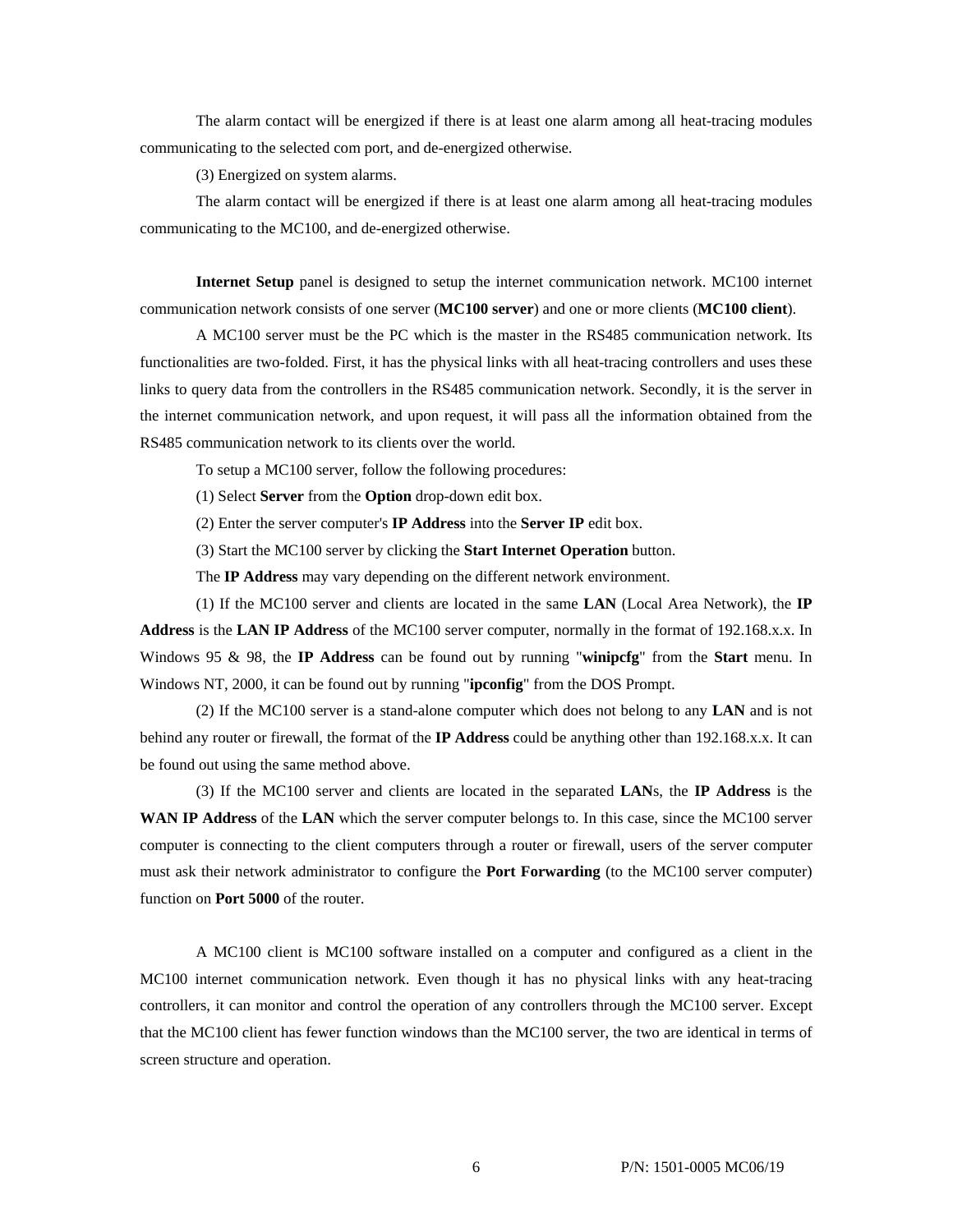The alarm contact will be energized if there is at least one alarm among all heat-tracing modules communicating to the selected com port, and de-energized otherwise.

(3) Energized on system alarms.

The alarm contact will be energized if there is at least one alarm among all heat-tracing modules communicating to the MC100, and de-energized otherwise.

**Internet Setup** panel is designed to setup the internet communication network. MC100 internet communication network consists of one server (**MC100 server**) and one or more clients (**MC100 client**).

A MC100 server must be the PC which is the master in the RS485 communication network. Its functionalities are two-folded. First, it has the physical links with all heat-tracing controllers and uses these links to query data from the controllers in the RS485 communication network. Secondly, it is the server in the internet communication network, and upon request, it will pass all the information obtained from the RS485 communication network to its clients over the world.

To setup a MC100 server, follow the following procedures:

(1) Select **Server** from the **Option** drop-down edit box.

(2) Enter the server computer's **IP Address** into the **Server IP** edit box.

(3) Start the MC100 server by clicking the **Start Internet Operation** button.

The **IP Address** may vary depending on the different network environment.

(1) If the MC100 server and clients are located in the same **LAN** (Local Area Network), the **IP Address** is the **LAN IP Address** of the MC100 server computer, normally in the format of 192.168.x.x. In Windows 95 & 98, the **IP Address** can be found out by running "**winipcfg**" from the **Start** menu. In Windows NT, 2000, it can be found out by running "**ipconfig**" from the DOS Prompt.

(2) If the MC100 server is a stand-alone computer which does not belong to any **LAN** and is not behind any router or firewall, the format of the **IP Address** could be anything other than 192.168.x.x. It can be found out using the same method above.

(3) If the MC100 server and clients are located in the separated **LAN**s, the **IP Address** is the **WAN IP Address** of the **LAN** which the server computer belongs to. In this case, since the MC100 server computer is connecting to the client computers through a router or firewall, users of the server computer must ask their network administrator to configure the **Port Forwarding** (to the MC100 server computer) function on **Port 5000** of the router.

A MC100 client is MC100 software installed on a computer and configured as a client in the MC100 internet communication network. Even though it has no physical links with any heat-tracing controllers, it can monitor and control the operation of any controllers through the MC100 server. Except that the MC100 client has fewer function windows than the MC100 server, the two are identical in terms of screen structure and operation.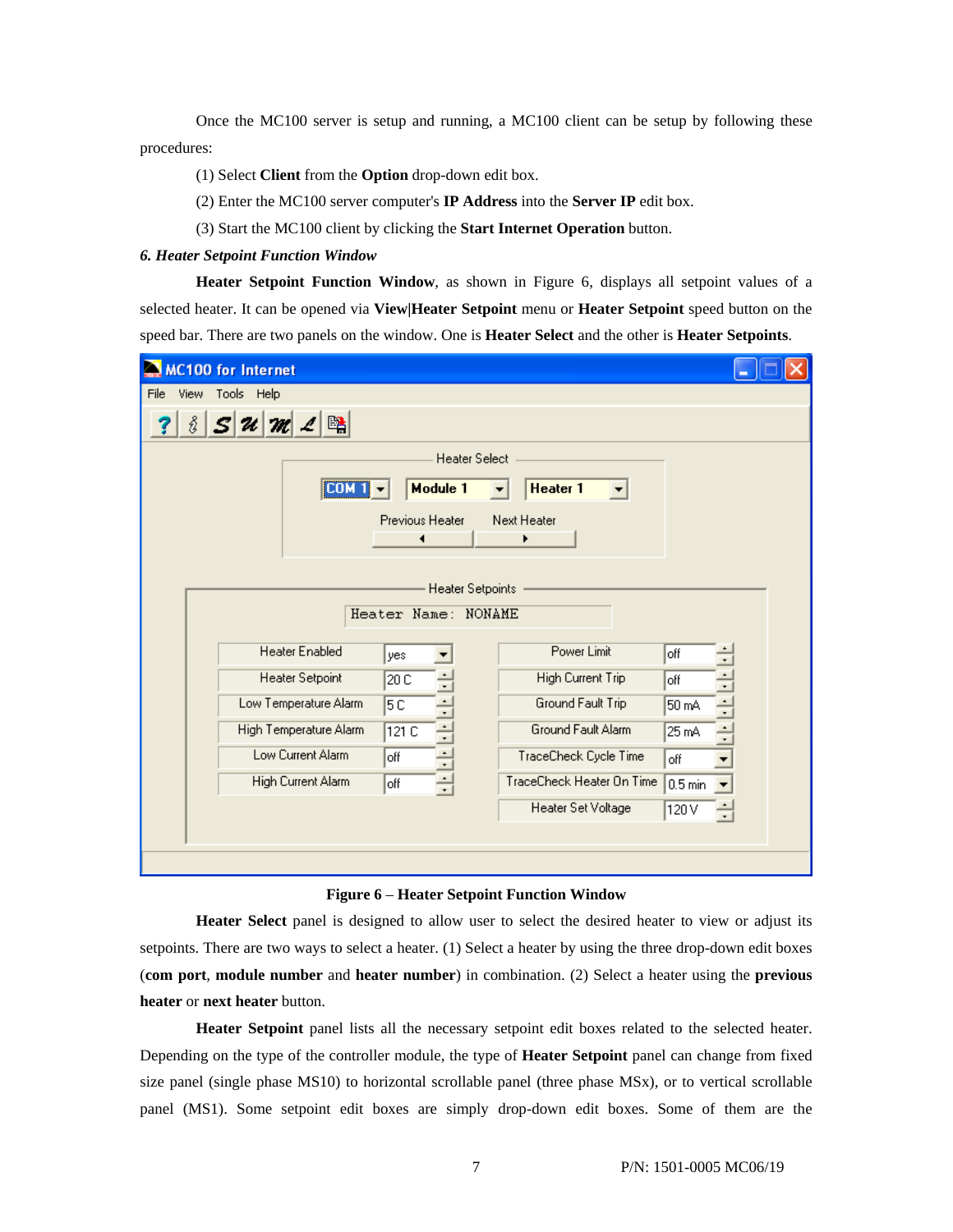Once the MC100 server is setup and running, a MC100 client can be setup by following these procedures:

- (1) Select **Client** from the **Option** drop-down edit box.
- (2) Enter the MC100 server computer's **IP Address** into the **Server IP** edit box.
- (3) Start the MC100 client by clicking the **Start Internet Operation** button.

## *6. Heater Setpoint Function Window*

**Heater Setpoint Function Window**, as shown in Figure 6, displays all setpoint values of a selected heater. It can be opened via **View|Heater Setpoint** menu or **Heater Setpoint** speed button on the speed bar. There are two panels on the window. One is **Heater Select** and the other is **Heater Setpoints**.

| <b>MC100 for Internet</b>                                |                                          |                 |
|----------------------------------------------------------|------------------------------------------|-----------------|
| Tools Help<br>File<br>View                               |                                          |                 |
| 曙<br>ŝ<br>$\mathcal{U}$ $\mathcal{W}$<br>$ \mathcal{S} $ |                                          |                 |
|                                                          | <b>Heater Select</b>                     |                 |
| <b>COM</b>                                               | Module 1<br>Heater 1<br>▼<br>▼           |                 |
|                                                          | Previous Heater<br>Next Heater<br>◀<br>▶ |                 |
|                                                          |                                          |                 |
|                                                          | <b>Heater Setpoints</b>                  |                 |
|                                                          | Heater Name: NONAME                      |                 |
|                                                          |                                          |                 |
| <b>Heater Enabled</b>                                    | Power Limit<br>yes                       | off             |
| <b>Heater Setpoint</b>                                   | High Current Trip<br>÷<br>20 C           | $\div$<br>off   |
| Low Temperature Alarm                                    | ÷<br>Ground Fault Trip<br>5 C            | H<br>50 mA      |
| High Temperature Alarm                                   | ÷<br>Ground Fault Alarm<br>121 C         | $\div$<br>25 mA |
| Low Current Alarm                                        | $\div$<br>TraceCheck Cycle Time<br>off   | off             |
| High Current Alarm                                       | 릨<br>TraceCheck Heater On Time<br>off    | $0.5$ min       |
|                                                          | Heater Set Voltage                       | 120 V<br>÷      |
|                                                          |                                          |                 |
|                                                          |                                          |                 |

#### **Figure 6** – **Heater Setpoint Function Window**

**Heater Select** panel is designed to allow user to select the desired heater to view or adjust its setpoints. There are two ways to select a heater. (1) Select a heater by using the three drop-down edit boxes (**com port**, **module number** and **heater number**) in combination. (2) Select a heater using the **previous heater** or **next heater** button.

**Heater Setpoint** panel lists all the necessary setpoint edit boxes related to the selected heater. Depending on the type of the controller module, the type of **Heater Setpoint** panel can change from fixed size panel (single phase MS10) to horizontal scrollable panel (three phase MSx), or to vertical scrollable panel (MS1). Some setpoint edit boxes are simply drop-down edit boxes. Some of them are the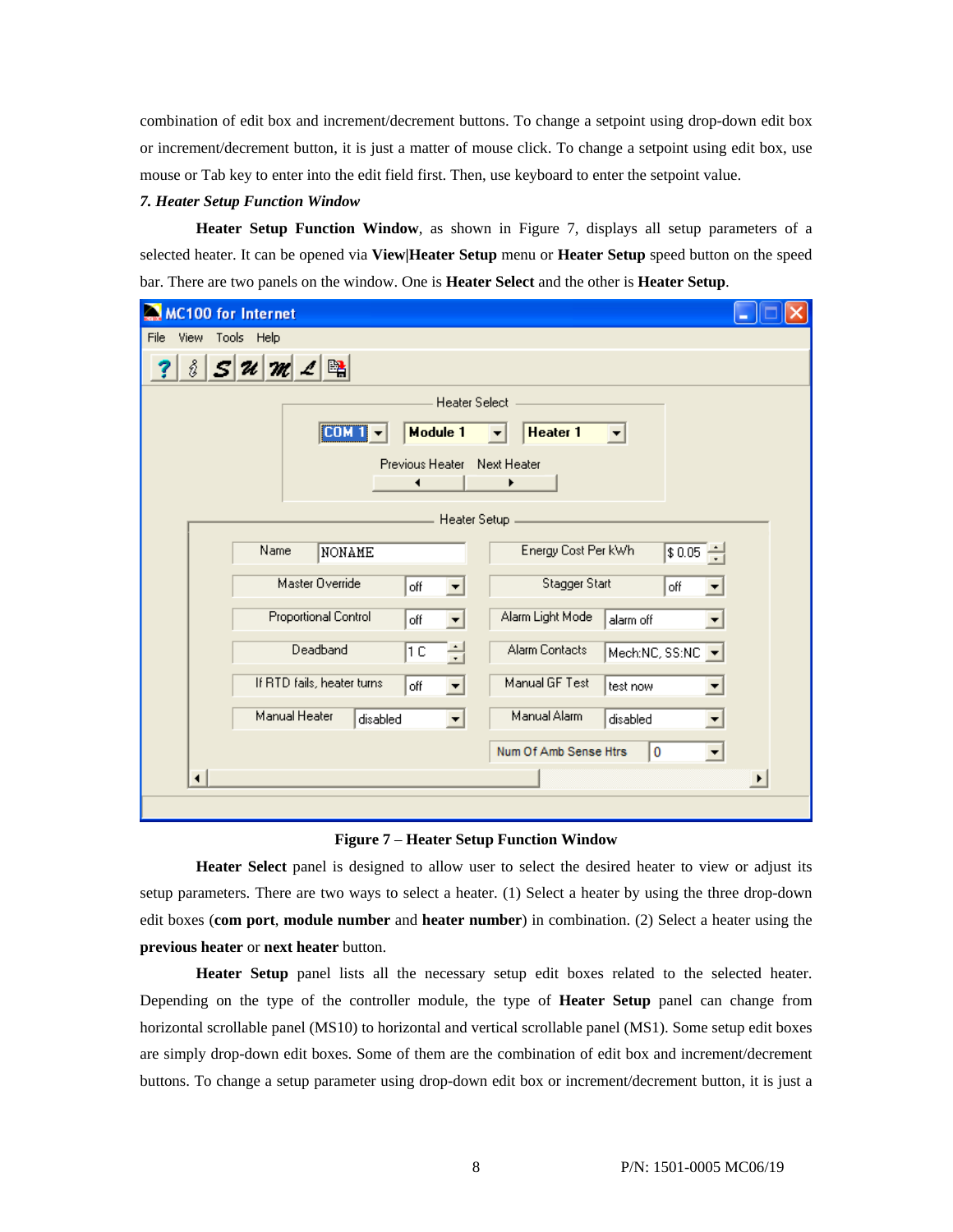combination of edit box and increment/decrement buttons. To change a setpoint using drop-down edit box or increment/decrement button, it is just a matter of mouse click. To change a setpoint using edit box, use mouse or Tab key to enter into the edit field first. Then, use keyboard to enter the setpoint value.

#### *7. Heater Setup Function Window*

**Heater Setup Function Window**, as shown in Figure 7, displays all setup parameters of a selected heater. It can be opened via **View|Heater Setup** menu or **Heater Setup** speed button on the speed bar. There are two panels on the window. One is **Heater Select** and the other is **Heater Setup**.

| <b>MC100 for Internet</b>                                                     |   |
|-------------------------------------------------------------------------------|---|
| File View Tools Help                                                          |   |
| $ \mathcal{S} \mathcal{U} \mathcal{M} \mathcal{L} \mathbb{B} $<br>ŝ           |   |
| <b>Heater Select</b>                                                          |   |
| [CDM 1]<br>Module 1<br>Heater 1<br>▼                                          |   |
| Previous Heater Next Heater<br>◀<br>▶                                         |   |
| Heater Setup                                                                  |   |
| Energy Cost Per kWh<br>Name<br>$ $0.05 - ]$<br>NONAME                         |   |
| Master Override<br>Stagger Start<br>off<br>off                                |   |
| <b>Proportional Control</b><br>Alarm Light Mode<br>off<br>alarm off           |   |
| Deadband<br>Alarm Contacts<br>1C<br>Mech:NC, SS:NC                            |   |
| If RTD fails, heater turns<br>Manual GF Test<br>off<br>test now<br>▼          |   |
| Manual Heater<br>Manual Alarm<br>disabled<br>disabled<br>$\blacktriangledown$ |   |
| Num Of Amb Sense Htrs<br>10<br>▼                                              |   |
| $\blacktriangleleft$                                                          | ▶ |
|                                                                               |   |

## **Figure 7** – **Heater Setup Function Window**

**Heater Select** panel is designed to allow user to select the desired heater to view or adjust its setup parameters. There are two ways to select a heater. (1) Select a heater by using the three drop-down edit boxes (**com port**, **module number** and **heater number**) in combination. (2) Select a heater using the **previous heater** or **next heater** button.

**Heater Setup** panel lists all the necessary setup edit boxes related to the selected heater. Depending on the type of the controller module, the type of **Heater Setup** panel can change from horizontal scrollable panel (MS10) to horizontal and vertical scrollable panel (MS1). Some setup edit boxes are simply drop-down edit boxes. Some of them are the combination of edit box and increment/decrement buttons. To change a setup parameter using drop-down edit box or increment/decrement button, it is just a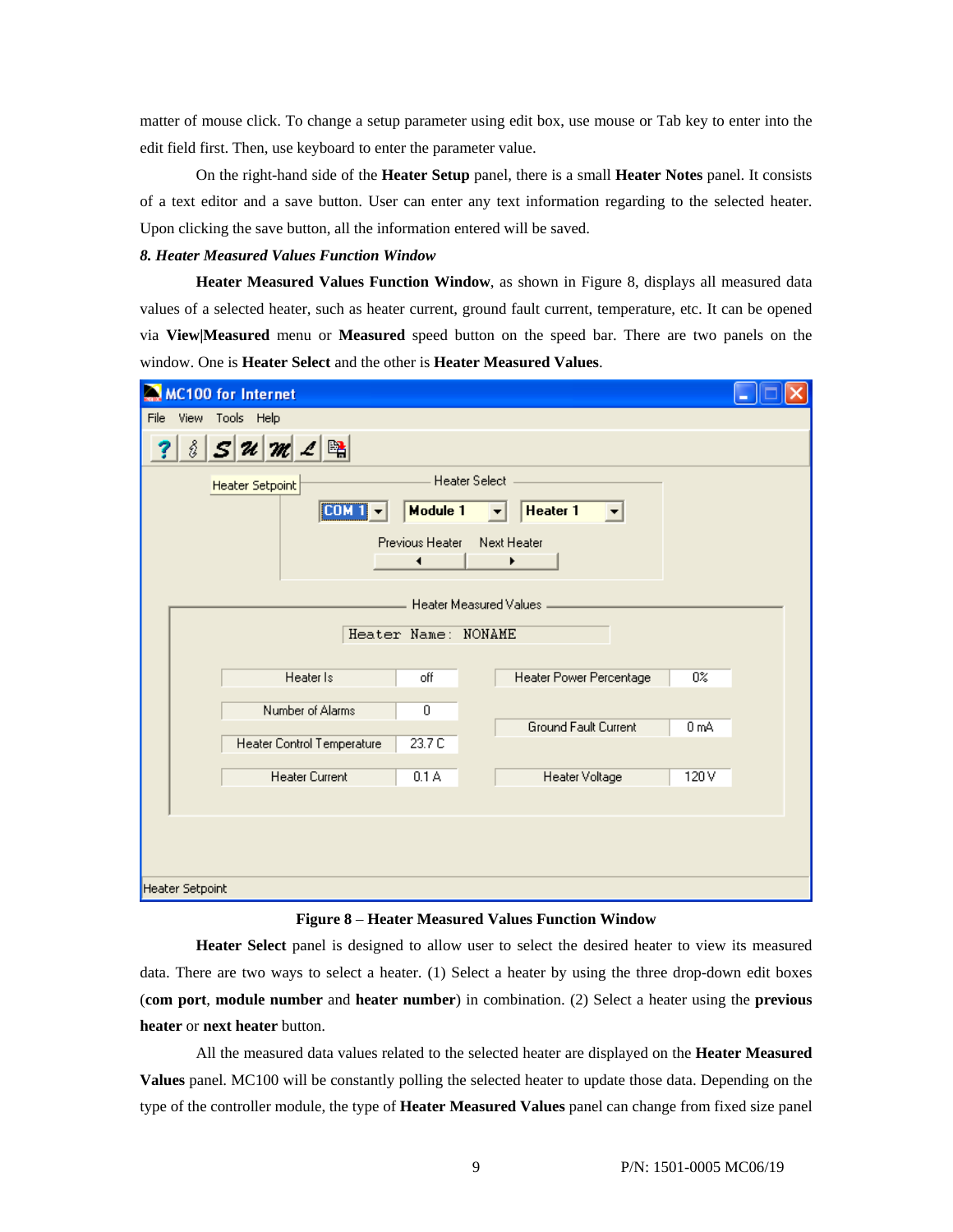matter of mouse click. To change a setup parameter using edit box, use mouse or Tab key to enter into the edit field first. Then, use keyboard to enter the parameter value.

On the right-hand side of the **Heater Setup** panel, there is a small **Heater Notes** panel. It consists of a text editor and a save button. User can enter any text information regarding to the selected heater. Upon clicking the save button, all the information entered will be saved.

## *8. Heater Measured Values Function Window*

**Heater Measured Values Function Window**, as shown in Figure 8, displays all measured data values of a selected heater, such as heater current, ground fault current, temperature, etc. It can be opened via **View|Measured** menu or **Measured** speed button on the speed bar. There are two panels on the window. One is **Heater Select** and the other is **Heater Measured Values**.

| <b>MC100 for Internet</b>                                |  |
|----------------------------------------------------------|--|
| File View Tools Help                                     |  |
| $ S \mathcal{U} \mathcal{M} \mathcal{L}$<br>ŝ            |  |
| <b>Heater Select</b><br>Heater Setpoint                  |  |
| [CDM1]<br>Module 1<br>Heater 1<br>$\left  \cdot \right $ |  |
| Previous Heater<br>Next Heater<br>۰<br>▶                 |  |
| Heater Measured Values                                   |  |
| Heater Name: NONAME                                      |  |
| Heater Is<br>off<br>Heater Power Percentage<br>$0\%$     |  |
| Number of Alarms<br>0                                    |  |
| Ground Fault Current<br>0 mA                             |  |
| 23.7 C<br>Heater Control Temperature                     |  |
| <b>Heater Current</b><br>0.1A<br>120V<br>Heater Voltage  |  |
|                                                          |  |
|                                                          |  |
|                                                          |  |
| Heater Setpoint                                          |  |

#### **Figure 8** – **Heater Measured Values Function Window**

**Heater Select** panel is designed to allow user to select the desired heater to view its measured data. There are two ways to select a heater. (1) Select a heater by using the three drop-down edit boxes (**com port**, **module number** and **heater number**) in combination. (2) Select a heater using the **previous heater** or **next heater** button.

All the measured data values related to the selected heater are displayed on the **Heater Measured Values** panel. MC100 will be constantly polling the selected heater to update those data. Depending on the type of the controller module, the type of **Heater Measured Values** panel can change from fixed size panel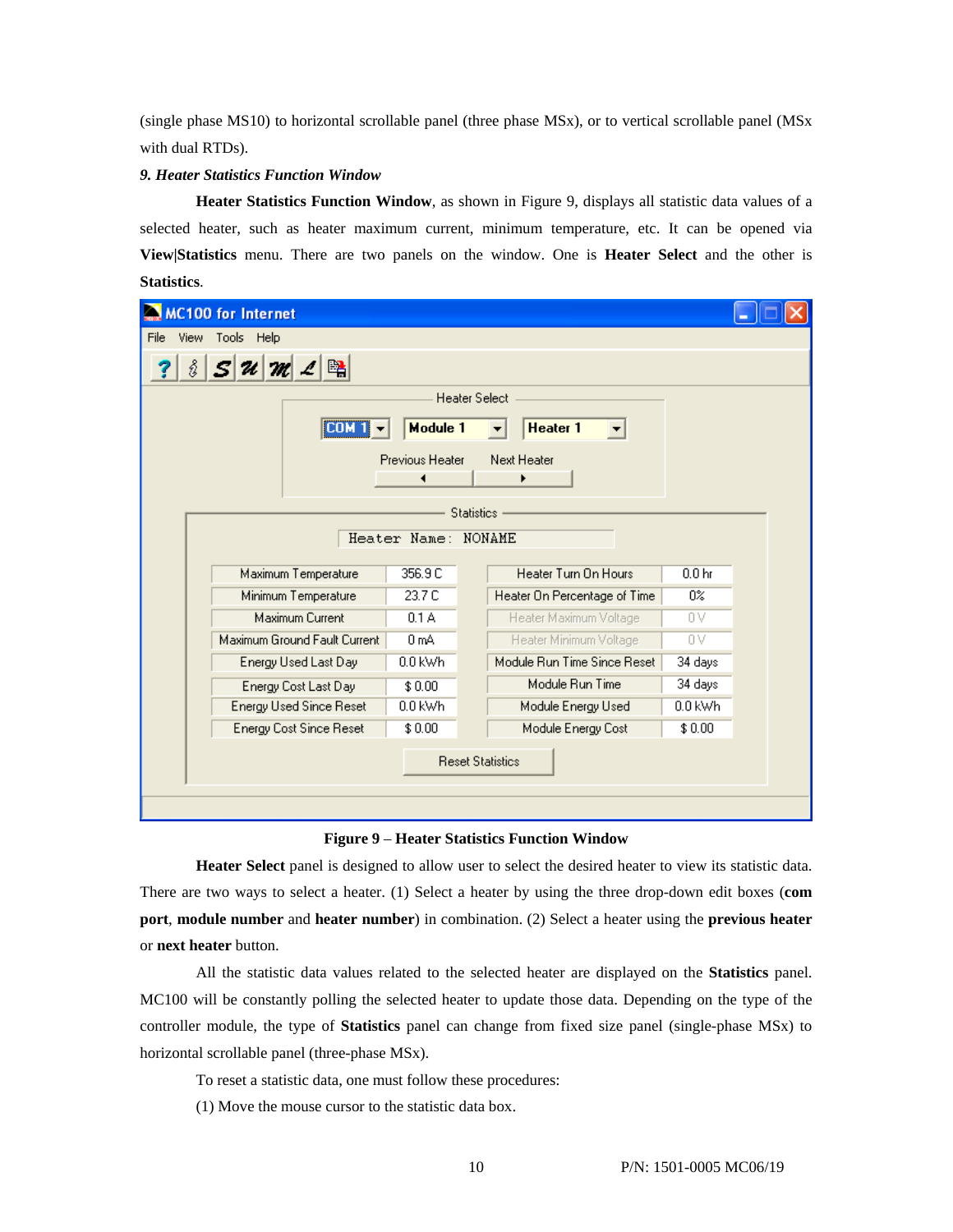(single phase MS10) to horizontal scrollable panel (three phase MSx), or to vertical scrollable panel (MSx with dual RTDs).

## *9. Heater Statistics Function Window*

**Heater Statistics Function Window**, as shown in Figure 9, displays all statistic data values of a selected heater, such as heater maximum current, minimum temperature, etc. It can be opened via **View|Statistics** menu. There are two panels on the window. One is **Heater Select** and the other is **Statistics**.

|                         | <b>MC100 for Internet</b>                                  |                        |                              |                   |  |  |  |
|-------------------------|------------------------------------------------------------|------------------------|------------------------------|-------------------|--|--|--|
| File                    | View Tools Help                                            |                        |                              |                   |  |  |  |
| å                       | $S$ $\mathcal{U}$ $\mathcal{M}$ $\mathcal{L}$ $\mathbb{R}$ |                        |                              |                   |  |  |  |
|                         | <b>Heater Select</b>                                       |                        |                              |                   |  |  |  |
|                         | <b>COM</b>                                                 | Module 1               | <b>Heater 1</b>              |                   |  |  |  |
|                         |                                                            | <b>Previous Heater</b> | Next Heater                  |                   |  |  |  |
|                         |                                                            |                        |                              |                   |  |  |  |
|                         |                                                            |                        | <b>Statistics</b>            |                   |  |  |  |
|                         |                                                            | Heater Name: NONAME    |                              |                   |  |  |  |
|                         | Maximum Temperature                                        | 356.9 C                | Heater Turn On Hours         | 0.0 <sub>hr</sub> |  |  |  |
|                         | Minimum Temperature                                        | 23.7 C                 | Heater On Percentage of Time | 0%                |  |  |  |
|                         | Maximum Current                                            | 0.1A                   | Heater Maximum Voltage       | 0V                |  |  |  |
|                         | Maximum Ground Fault Current                               | 0 mA                   | Heater Minimum Voltage       | 0V                |  |  |  |
|                         | Energy Used Last Day                                       | 0.0 kWh                | Module Run Time Since Reset  | 34 days           |  |  |  |
|                         | Energy Cost Last Day                                       | \$0.00                 | Module Run Time              | 34 days           |  |  |  |
|                         | <b>Energy Used Since Reset</b>                             | $0.0$ kWh              | Module Energy Used           | 0.0 kWh           |  |  |  |
|                         | Energy Cost Since Reset                                    | \$0.00                 | Module Energy Cost           | \$0.00            |  |  |  |
| <b>Reset Statistics</b> |                                                            |                        |                              |                   |  |  |  |
|                         |                                                            |                        |                              |                   |  |  |  |

## **Figure 9** – **Heater Statistics Function Window**

**Heater Select** panel is designed to allow user to select the desired heater to view its statistic data. There are two ways to select a heater. (1) Select a heater by using the three drop-down edit boxes (**com port**, **module number** and **heater number**) in combination. (2) Select a heater using the **previous heater** or **next heater** button.

All the statistic data values related to the selected heater are displayed on the **Statistics** panel. MC100 will be constantly polling the selected heater to update those data. Depending on the type of the controller module, the type of **Statistics** panel can change from fixed size panel (single-phase MSx) to horizontal scrollable panel (three-phase MSx).

- To reset a statistic data, one must follow these procedures:
- (1) Move the mouse cursor to the statistic data box.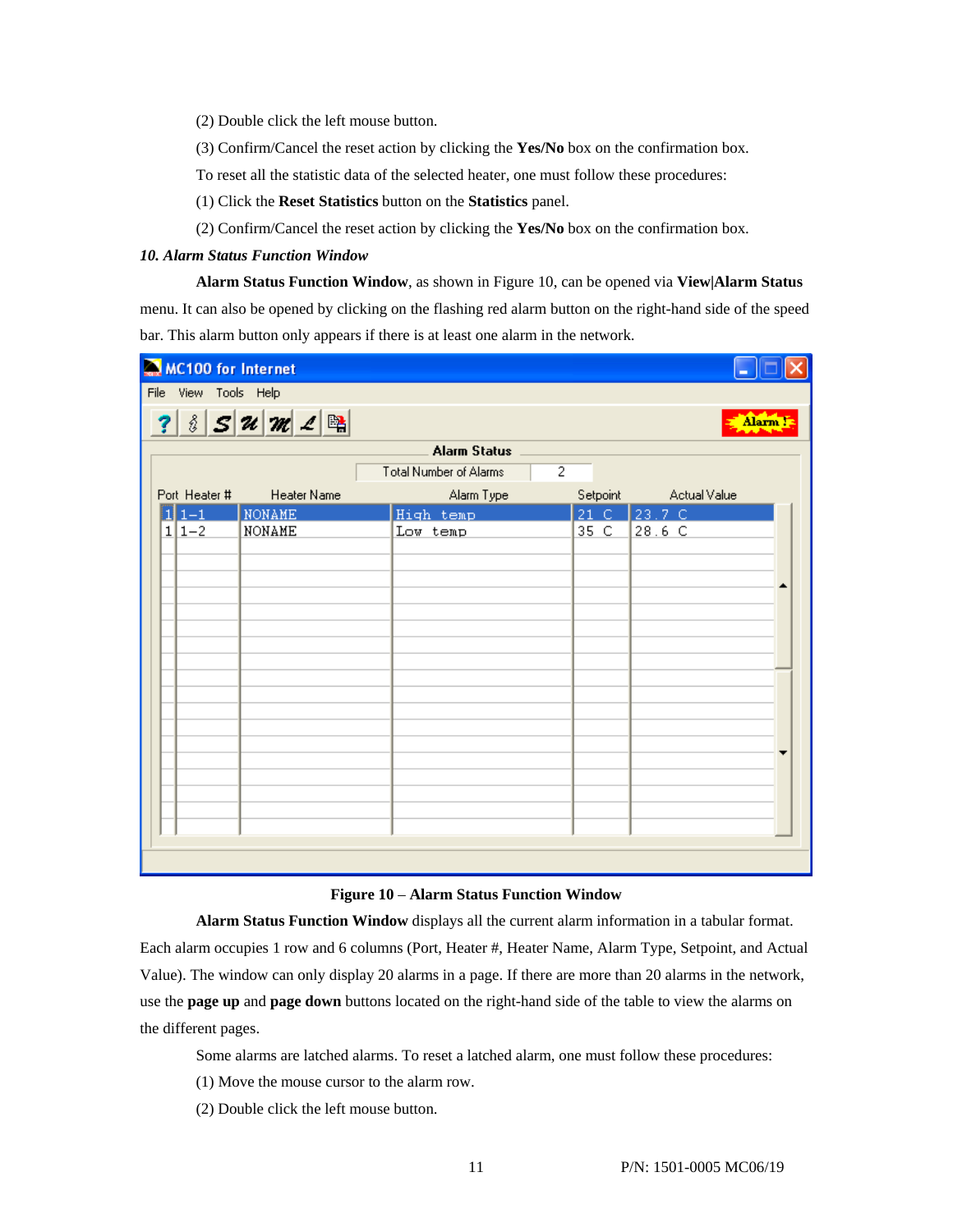(2) Double click the left mouse button.

(3) Confirm/Cancel the reset action by clicking the **Yes/No** box on the confirmation box.

To reset all the statistic data of the selected heater, one must follow these procedures:

- (1) Click the **Reset Statistics** button on the **Statistics** panel.
- (2) Confirm/Cancel the reset action by clicking the **Yes/No** box on the confirmation box.

## *10. Alarm Status Function Window*

**Alarm Status Function Window**, as shown in Figure 10, can be opened via **View|Alarm Status** menu. It can also be opened by clicking on the flashing red alarm button on the right-hand side of the speed bar. This alarm button only appears if there is at least one alarm in the network.

| MC100 for Internet   |                    |                               |                      |              |          |
|----------------------|--------------------|-------------------------------|----------------------|--------------|----------|
| File View Tools Help |                    |                               |                      |              |          |
|                      | ? $3527$ $23$      |                               |                      |              | Alarm !: |
|                      |                    | <b>Alarm Status</b>           |                      |              |          |
|                      |                    | <b>Total Number of Alarms</b> | $\overline{2}$       |              |          |
| Port Heater #        | <b>Heater Name</b> | Alarm Type                    | Setpoint             | Actual Value |          |
| $11 - 1$             | <b>NONAME</b>      | High temp                     | $21^\circ$ C $^{-1}$ | 23.7C        |          |
| $1 1-2$              | NONAME             | Low temp                      | 35 C                 | 28.6 C       |          |
|                      |                    |                               |                      |              |          |
|                      |                    |                               |                      |              |          |
|                      |                    |                               |                      |              |          |
|                      |                    |                               |                      |              |          |
|                      |                    |                               |                      |              |          |
|                      |                    |                               |                      |              |          |
|                      |                    |                               |                      |              |          |
|                      |                    |                               |                      |              |          |
|                      |                    |                               |                      |              |          |
|                      |                    |                               |                      |              |          |
|                      |                    |                               |                      |              |          |
|                      |                    |                               |                      |              |          |
|                      |                    |                               |                      |              |          |
|                      |                    |                               |                      |              |          |
|                      |                    |                               |                      |              |          |
|                      |                    |                               |                      |              |          |
|                      |                    |                               |                      |              |          |

#### **Figure 10** – **Alarm Status Function Window**

**Alarm Status Function Window** displays all the current alarm information in a tabular format. Each alarm occupies 1 row and 6 columns (Port, Heater #, Heater Name, Alarm Type, Setpoint, and Actual Value). The window can only display 20 alarms in a page. If there are more than 20 alarms in the network, use the **page up** and **page down** buttons located on the right-hand side of the table to view the alarms on the different pages.

Some alarms are latched alarms. To reset a latched alarm, one must follow these procedures:

- (1) Move the mouse cursor to the alarm row.
- (2) Double click the left mouse button.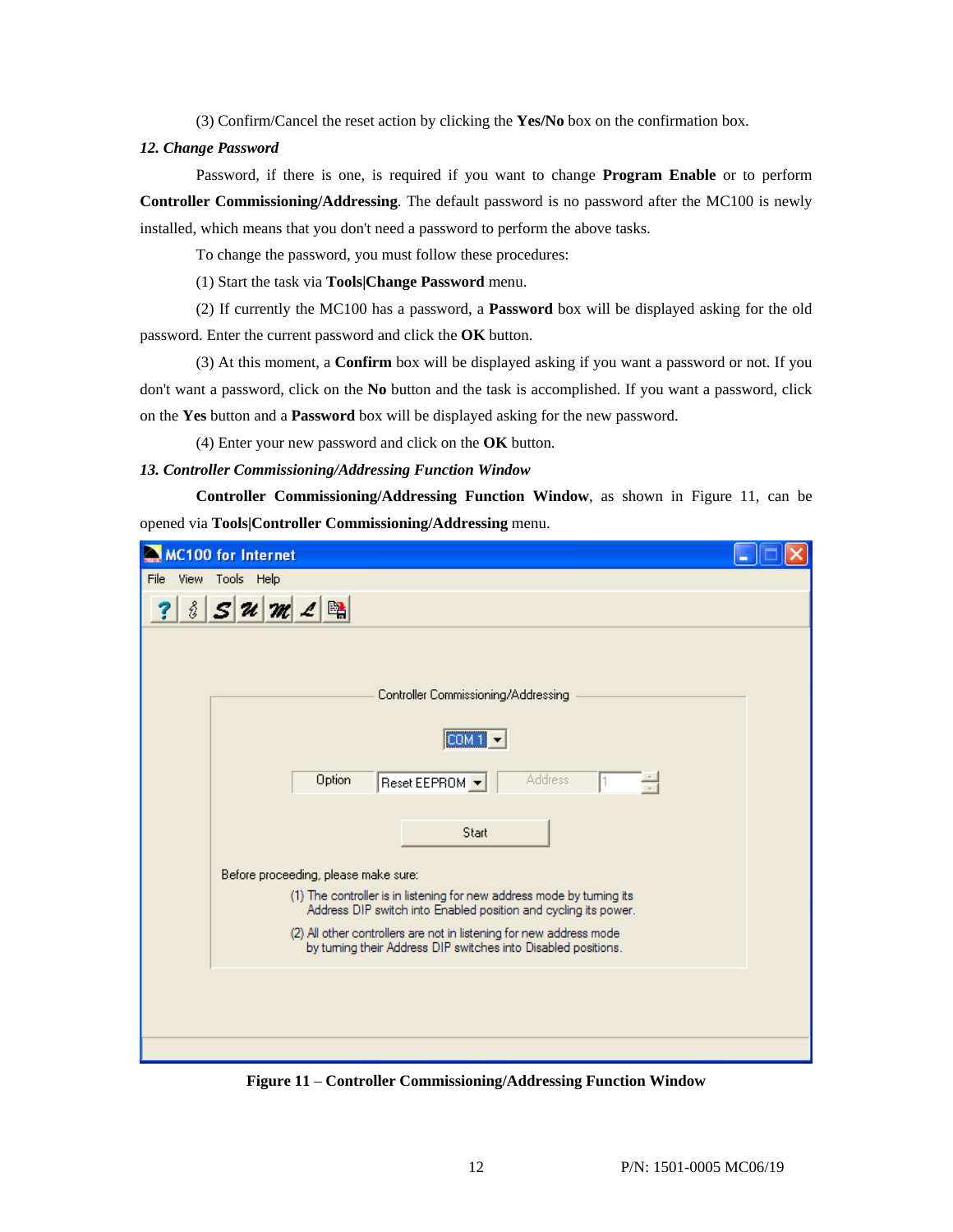(3) Confirm/Cancel the reset action by clicking the **Yes/No** box on the confirmation box.

## *12. Change Password*

Password, if there is one, is required if you want to change **Program Enable** or to perform **Controller Commissioning/Addressing**. The default password is no password after the MC100 is newly installed, which means that you don't need a password to perform the above tasks.

To change the password, you must follow these procedures:

(1) Start the task via **Tools|Change Password** menu.

(2) If currently the MC100 has a password, a **Password** box will be displayed asking for the old password. Enter the current password and click the **OK** button.

(3) At this moment, a **Confirm** box will be displayed asking if you want a password or not. If you don't want a password, click on the **No** button and the task is accomplished. If you want a password, click on the **Yes** button and a **Password** box will be displayed asking for the new password.

(4) Enter your new password and click on the **OK** button.

## *13. Controller Commissioning/Addressing Function Window*

**Controller Commissioning/Addressing Function Window**, as shown in Figure 11, can be opened via **Tools|Controller Commissioning/Addressing** menu.

| <b>MC100 for Internet</b>                                                                                                                 |  |
|-------------------------------------------------------------------------------------------------------------------------------------------|--|
| File View Tools Help                                                                                                                      |  |
| $S$ $\mathcal{U}$ $\mathcal{M}$ $\mathcal{L}$ $\mathbb{B}$<br>å                                                                           |  |
|                                                                                                                                           |  |
| Controller Commissioning/Addressing                                                                                                       |  |
| $COM1 -$                                                                                                                                  |  |
| <b>Address</b><br>Option<br>Reset EEPROM v                                                                                                |  |
| Start                                                                                                                                     |  |
| Before proceeding, please make sure:                                                                                                      |  |
| (1) The controller is in listening for new address mode by turning its<br>Address DIP switch into Enabled position and cycling its power. |  |
| (2) All other controllers are not in listening for new address mode<br>by turning their Address DIP switches into Disabled positions.     |  |
|                                                                                                                                           |  |
|                                                                                                                                           |  |
|                                                                                                                                           |  |
|                                                                                                                                           |  |

**Figure 11** – **Controller Commissioning/Addressing Function Window**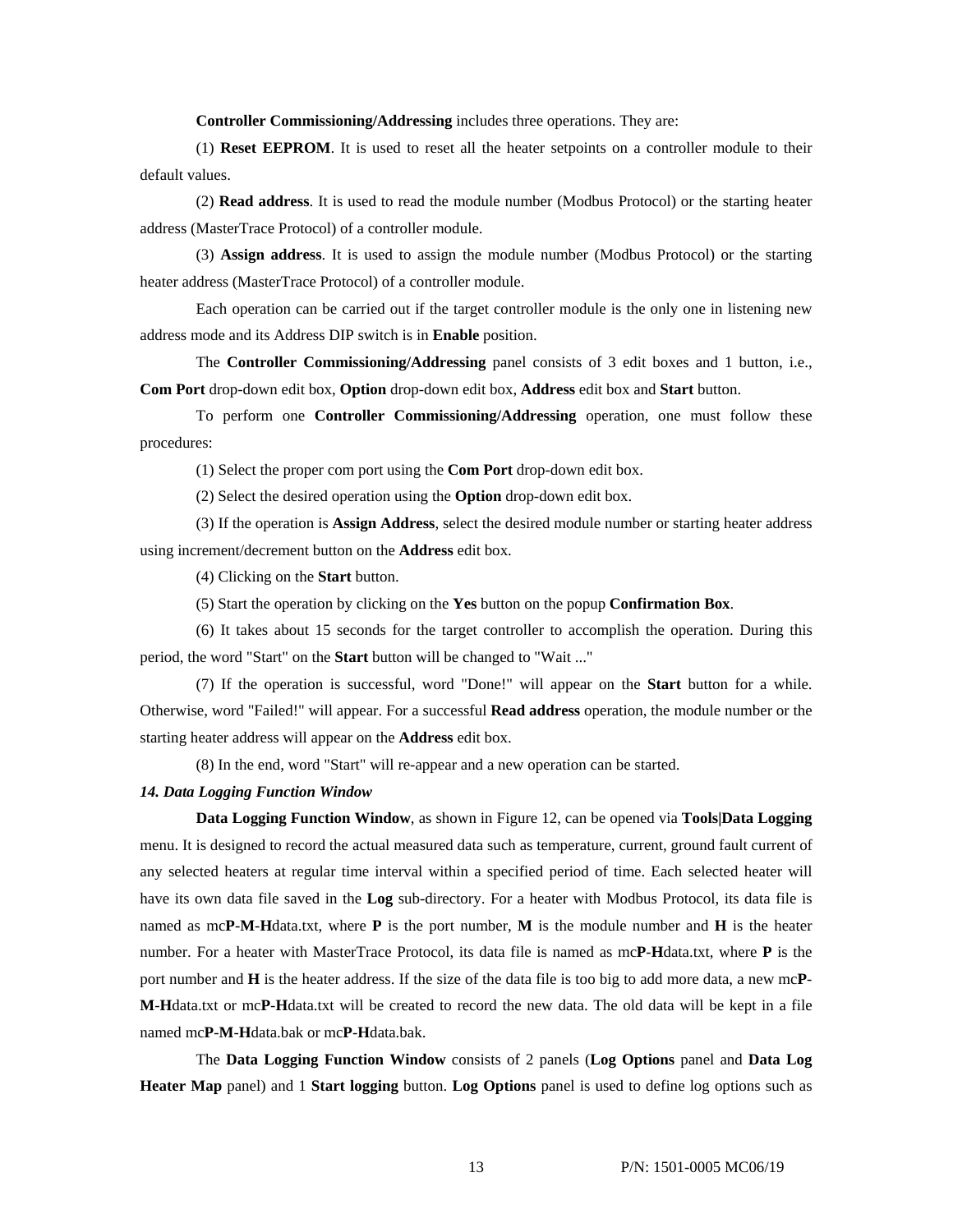**Controller Commissioning/Addressing** includes three operations. They are:

(1) **Reset EEPROM**. It is used to reset all the heater setpoints on a controller module to their default values.

(2) **Read address**. It is used to read the module number (Modbus Protocol) or the starting heater address (MasterTrace Protocol) of a controller module.

(3) **Assign address**. It is used to assign the module number (Modbus Protocol) or the starting heater address (MasterTrace Protocol) of a controller module.

Each operation can be carried out if the target controller module is the only one in listening new address mode and its Address DIP switch is in **Enable** position.

The **Controller Commissioning/Addressing** panel consists of 3 edit boxes and 1 button, i.e., **Com Port** drop-down edit box, **Option** drop-down edit box, **Address** edit box and **Start** button.

To perform one **Controller Commissioning/Addressing** operation, one must follow these procedures:

(1) Select the proper com port using the **Com Port** drop-down edit box.

(2) Select the desired operation using the **Option** drop-down edit box.

(3) If the operation is **Assign Address**, select the desired module number or starting heater address using increment/decrement button on the **Address** edit box.

(4) Clicking on the **Start** button.

(5) Start the operation by clicking on the **Yes** button on the popup **Confirmation Box**.

(6) It takes about 15 seconds for the target controller to accomplish the operation. During this period, the word "Start" on the **Start** button will be changed to "Wait ..."

(7) If the operation is successful, word "Done!" will appear on the **Start** button for a while. Otherwise, word "Failed!" will appear. For a successful **Read address** operation, the module number or the starting heater address will appear on the **Address** edit box.

(8) In the end, word "Start" will re-appear and a new operation can be started.

#### *14. Data Logging Function Window*

**Data Logging Function Window**, as shown in Figure 12, can be opened via **Tools|Data Logging**  menu. It is designed to record the actual measured data such as temperature, current, ground fault current of any selected heaters at regular time interval within a specified period of time. Each selected heater will have its own data file saved in the **Log** sub-directory. For a heater with Modbus Protocol, its data file is named as mc**P**-**M**-**H**data.txt, where **P** is the port number, **M** is the module number and **H** is the heater number. For a heater with MasterTrace Protocol, its data file is named as mc**P**-**H**data.txt, where **P** is the port number and **H** is the heater address. If the size of the data file is too big to add more data, a new mc**P**-**M**-**H**data.txt or mc**P**-**H**data.txt will be created to record the new data. The old data will be kept in a file named mc**P**-**M**-**H**data.bak or mc**P**-**H**data.bak.

The **Data Logging Function Window** consists of 2 panels (**Log Options** panel and **Data Log Heater Map** panel) and 1 **Start logging** button. **Log Options** panel is used to define log options such as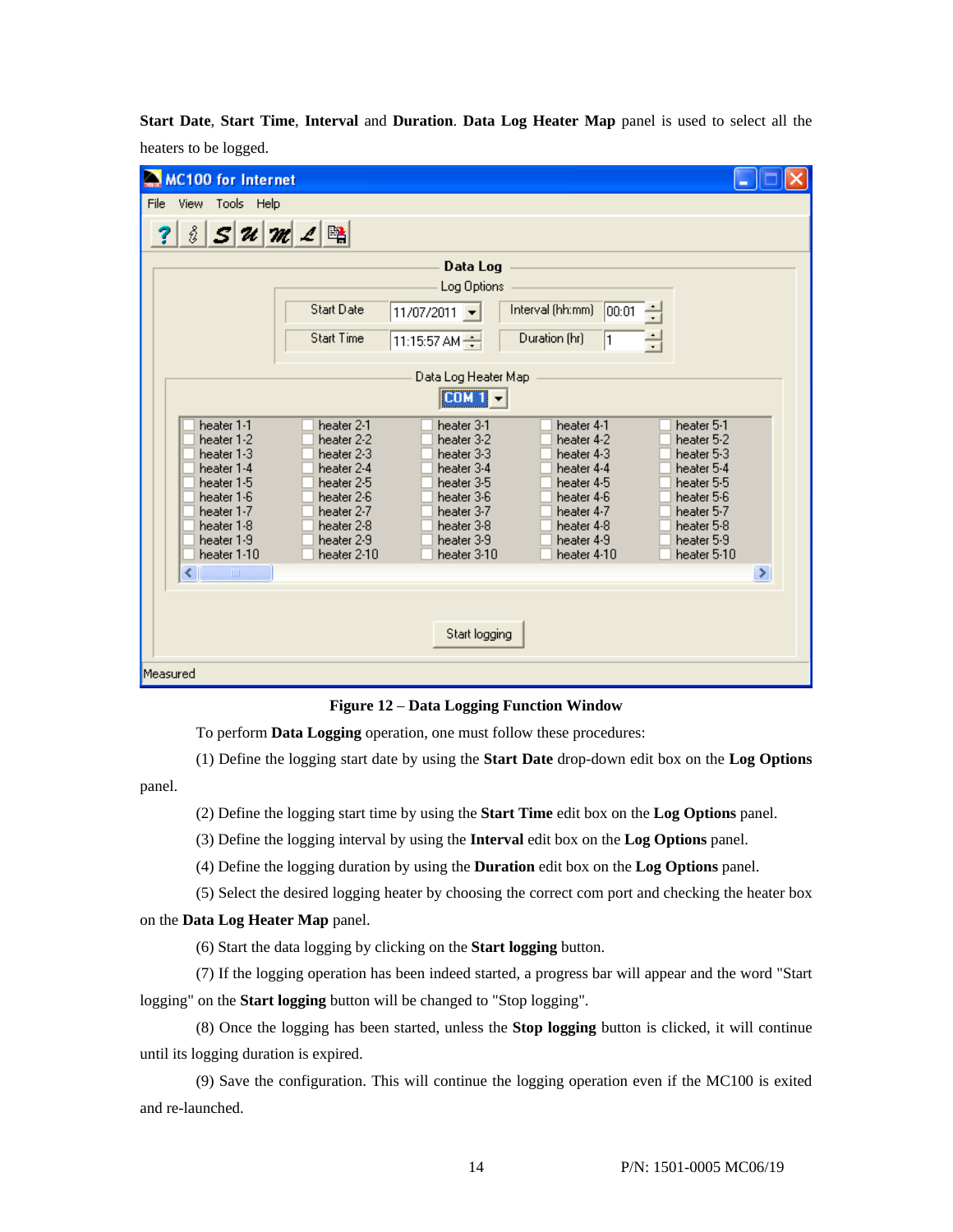**Start Date**, **Start Time**, **Interval** and **Duration**. **Data Log Heater Map** panel is used to select all the heaters to be logged.

| MC100 for Internet                                                                                                                                                                                                                                                                                                                                                                                                                                                                                                                                                                                                                                                                                                                                  |   |
|-----------------------------------------------------------------------------------------------------------------------------------------------------------------------------------------------------------------------------------------------------------------------------------------------------------------------------------------------------------------------------------------------------------------------------------------------------------------------------------------------------------------------------------------------------------------------------------------------------------------------------------------------------------------------------------------------------------------------------------------------------|---|
| View Tools Help<br>File                                                                                                                                                                                                                                                                                                                                                                                                                                                                                                                                                                                                                                                                                                                             |   |
| $S$ $\mathcal{U}$ $\mathcal{M}$ $\mathcal{L}$ $\mathbb{R}$<br>å                                                                                                                                                                                                                                                                                                                                                                                                                                                                                                                                                                                                                                                                                     |   |
| Data Log                                                                                                                                                                                                                                                                                                                                                                                                                                                                                                                                                                                                                                                                                                                                            |   |
| Log Options                                                                                                                                                                                                                                                                                                                                                                                                                                                                                                                                                                                                                                                                                                                                         |   |
| <b>Start Date</b><br>Interval (hh:mm)<br>00:01<br>$11/07/2011$ $\rightarrow$                                                                                                                                                                                                                                                                                                                                                                                                                                                                                                                                                                                                                                                                        |   |
| <b>Start Time</b><br>Duration (hr)<br>싂<br>$\left  11:15:57 \text{ AM } \right $                                                                                                                                                                                                                                                                                                                                                                                                                                                                                                                                                                                                                                                                    |   |
| Data Log Heater Map                                                                                                                                                                                                                                                                                                                                                                                                                                                                                                                                                                                                                                                                                                                                 |   |
| [CDM 1]                                                                                                                                                                                                                                                                                                                                                                                                                                                                                                                                                                                                                                                                                                                                             |   |
| heater 1-1<br>heater 2-1<br>heater 4-1<br>heater 5-1<br>heater 3-1<br>heater 1-2<br>heater 2-2<br>heater 3-2<br>heater 4-2<br>heater 5-2<br>heater 1-3<br>heater 2-3<br>heater 3-3<br>heater 4-3<br>heater 5-3<br>heater 1-4<br>heater 3-4<br>heater 4-4<br>heater 5-4<br>heater 2-4<br>heater 1-5<br>heater 2-5<br>heater 3-5<br>heater 4-5<br>heater 5-5<br>heater 1-6<br>heater 2-6<br>heater 3-6<br>heater 4-6<br>heater 5-6<br>heater 1-7<br>heater 3-7<br>heater 4-7<br>heater 2-7<br>heater 5-7<br>heater 1-8<br>heater 2-8<br>heater 3-8<br>heater 4-8<br>heater 5-8<br>heater 1-9<br>heater 2-9<br>heater 3-9<br>heater 4-9<br>heater 5-9<br>heater 1-10<br>heater 2-10<br>heater 3-10<br>heater 4-10<br>heater 5-10<br>≺∣<br>$\mathbf{m}$ | ≯ |
| Start logging                                                                                                                                                                                                                                                                                                                                                                                                                                                                                                                                                                                                                                                                                                                                       |   |
| Measured                                                                                                                                                                                                                                                                                                                                                                                                                                                                                                                                                                                                                                                                                                                                            |   |

**Figure 12** – **Data Logging Function Window** 

To perform **Data Logging** operation, one must follow these procedures:

(1) Define the logging start date by using the **Start Date** drop-down edit box on the **Log Options**

panel.

- (2) Define the logging start time by using the **Start Time** edit box on the **Log Options** panel.
- (3) Define the logging interval by using the **Interval** edit box on the **Log Options** panel.
- (4) Define the logging duration by using the **Duration** edit box on the **Log Options** panel.
- (5) Select the desired logging heater by choosing the correct com port and checking the heater box

## on the **Data Log Heater Map** panel.

(6) Start the data logging by clicking on the **Start logging** button.

(7) If the logging operation has been indeed started, a progress bar will appear and the word "Start logging" on the **Start logging** button will be changed to "Stop logging".

(8) Once the logging has been started, unless the **Stop logging** button is clicked, it will continue until its logging duration is expired.

(9) Save the configuration. This will continue the logging operation even if the MC100 is exited and re-launched.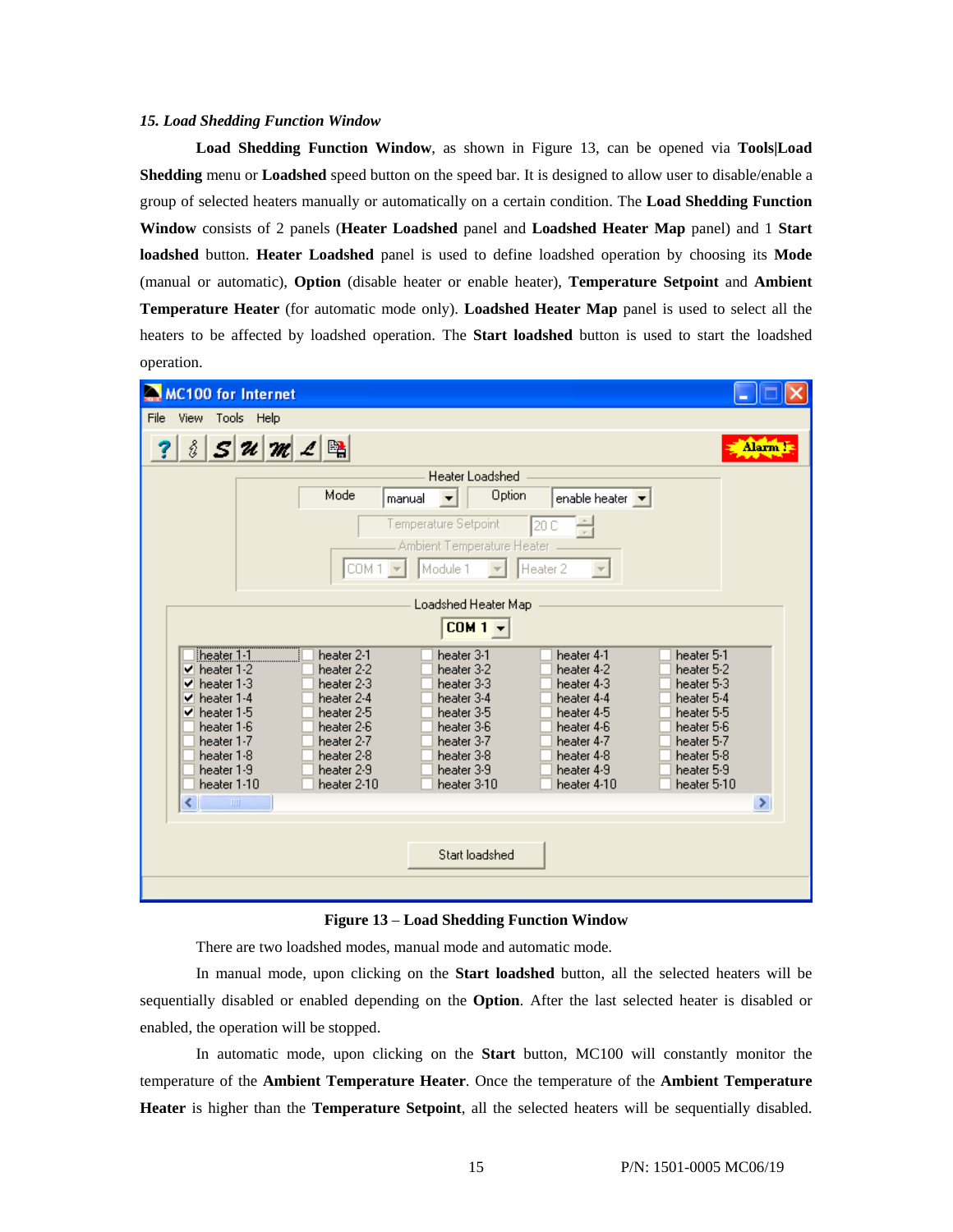## *15. Load Shedding Function Window*

**Load Shedding Function Window**, as shown in Figure 13, can be opened via **Tools|Load Shedding** menu or **Loadshed** speed button on the speed bar. It is designed to allow user to disable/enable a group of selected heaters manually or automatically on a certain condition. The **Load Shedding Function Window** consists of 2 panels (**Heater Loadshed** panel and **Loadshed Heater Map** panel) and 1 **Start loadshed** button. **Heater Loadshed** panel is used to define loadshed operation by choosing its **Mode** (manual or automatic), **Option** (disable heater or enable heater), **Temperature Setpoint** and **Ambient Temperature Heater** (for automatic mode only). **Loadshed Heater Map** panel is used to select all the heaters to be affected by loadshed operation. The **Start loadshed** button is used to start the loadshed operation.

| <b>MC100 for Internet</b>                                                                                                                                                                            |                                                                                                                                           |                                                                                                                                           |                                                                                                                                           |                                                                                                                                           |          |
|------------------------------------------------------------------------------------------------------------------------------------------------------------------------------------------------------|-------------------------------------------------------------------------------------------------------------------------------------------|-------------------------------------------------------------------------------------------------------------------------------------------|-------------------------------------------------------------------------------------------------------------------------------------------|-------------------------------------------------------------------------------------------------------------------------------------------|----------|
| View Tools Help<br>File                                                                                                                                                                              |                                                                                                                                           |                                                                                                                                           |                                                                                                                                           |                                                                                                                                           |          |
| ŝ                                                                                                                                                                                                    | $S$ $\mathcal{U}$ $\mathcal{M}$ $\mathcal{L}$ $\mathbb{R}$                                                                                |                                                                                                                                           |                                                                                                                                           |                                                                                                                                           | Alarm !! |
|                                                                                                                                                                                                      |                                                                                                                                           | Heater Loadshed                                                                                                                           |                                                                                                                                           |                                                                                                                                           |          |
|                                                                                                                                                                                                      | Mode                                                                                                                                      | Option<br>manual                                                                                                                          | enable heater $\vert \bullet \vert$                                                                                                       |                                                                                                                                           |          |
|                                                                                                                                                                                                      | COM <sub>1</sub>                                                                                                                          | Temperature Setpoint<br>Ambient Temperature Heater<br>Module 1                                                                            | 120<br>Heater 2                                                                                                                           |                                                                                                                                           |          |
|                                                                                                                                                                                                      |                                                                                                                                           | Loadshed Heater Map                                                                                                                       |                                                                                                                                           |                                                                                                                                           |          |
|                                                                                                                                                                                                      |                                                                                                                                           | $COM1 -$                                                                                                                                  |                                                                                                                                           |                                                                                                                                           |          |
| heater 1-1<br>$\blacktriangledown$ heater 1-2<br>heater 1-3<br>✓<br>heater 1-4<br>✓<br>heater 1-5<br>✔<br>heater 1-6<br>heater 1-7<br>heater 1-8<br>heater 1-9<br>heater 1-10<br>≺<br>$\blacksquare$ | heater 2-1<br>heater 2-2<br>heater 2-3<br>heater 2-4<br>heater 2-5<br>heater 2-6<br>heater 2-7<br>heater 2-8<br>heater 2-9<br>heater 2-10 | heater 3-1<br>heater 3-2<br>heater 3-3<br>heater 3-4<br>heater 3-5<br>heater 3-6<br>heater 3-7<br>heater 3-8<br>heater 3-9<br>heater 3-10 | heater 4-1<br>heater 4-2<br>heater 4-3<br>heater 4-4<br>heater 4-5<br>heater 4-6<br>heater 4-7<br>heater 4-8<br>heater 4-9<br>heater 4-10 | heater 5-1<br>heater 5-2<br>heater 5-3<br>heater 5-4<br>heater 5-5<br>heater 5-6<br>heater 5-7<br>heater 5-8<br>heater 5-9<br>heater 5-10 | ⋗        |
|                                                                                                                                                                                                      |                                                                                                                                           | Start loadshed                                                                                                                            |                                                                                                                                           |                                                                                                                                           |          |

#### **Figure 13** – **Load Shedding Function Window**

There are two loadshed modes, manual mode and automatic mode.

In manual mode, upon clicking on the **Start loadshed** button, all the selected heaters will be sequentially disabled or enabled depending on the **Option**. After the last selected heater is disabled or enabled, the operation will be stopped.

In automatic mode, upon clicking on the **Start** button, MC100 will constantly monitor the temperature of the **Ambient Temperature Heater**. Once the temperature of the **Ambient Temperature Heater** is higher than the **Temperature Setpoint**, all the selected heaters will be sequentially disabled.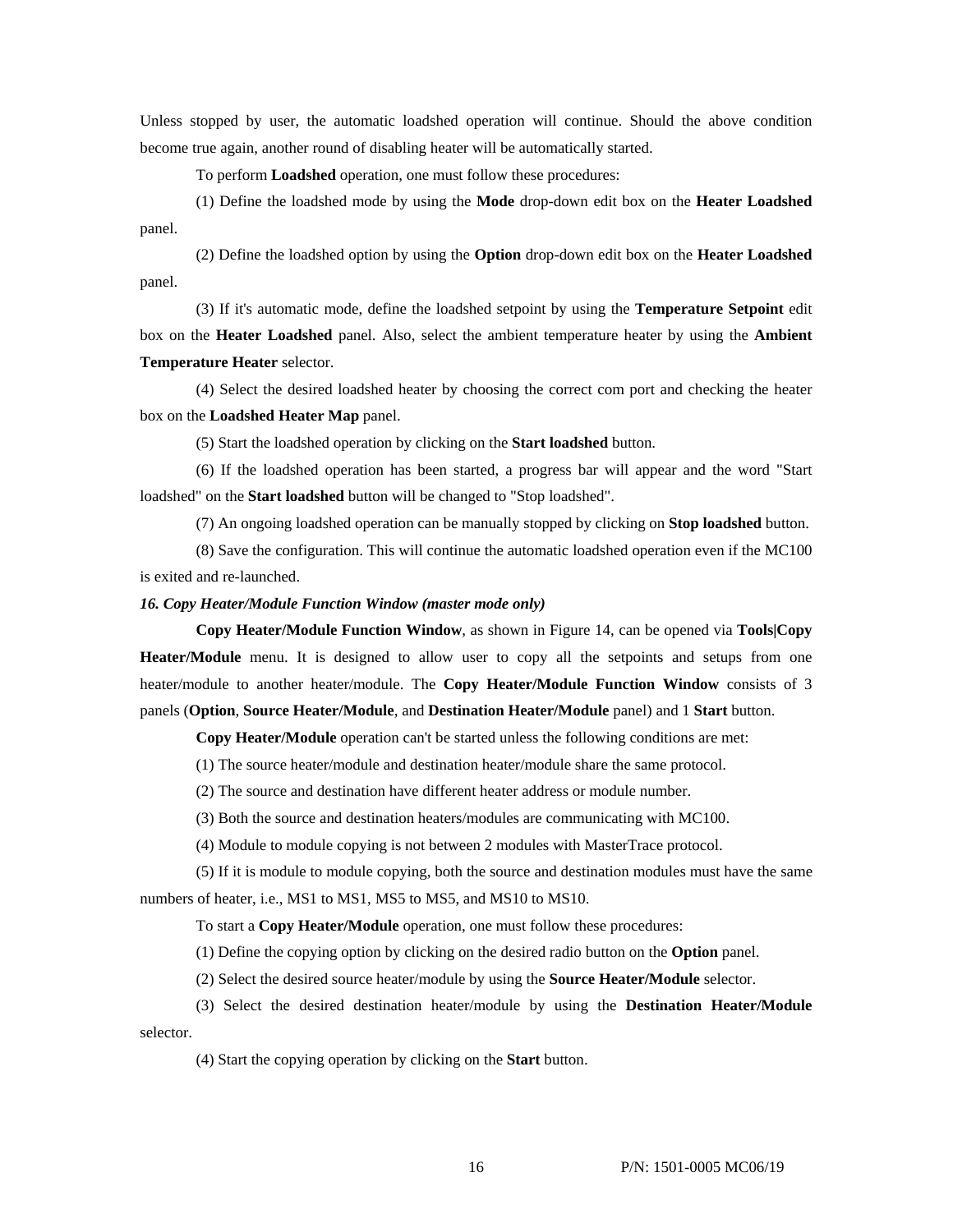Unless stopped by user, the automatic loadshed operation will continue. Should the above condition become true again, another round of disabling heater will be automatically started.

To perform **Loadshed** operation, one must follow these procedures:

(1) Define the loadshed mode by using the **Mode** drop-down edit box on the **Heater Loadshed** panel.

(2) Define the loadshed option by using the **Option** drop-down edit box on the **Heater Loadshed** panel.

(3) If it's automatic mode, define the loadshed setpoint by using the **Temperature Setpoint** edit box on the **Heater Loadshed** panel. Also, select the ambient temperature heater by using the **Ambient Temperature Heater** selector.

(4) Select the desired loadshed heater by choosing the correct com port and checking the heater box on the **Loadshed Heater Map** panel.

(5) Start the loadshed operation by clicking on the **Start loadshed** button.

(6) If the loadshed operation has been started, a progress bar will appear and the word "Start loadshed" on the **Start loadshed** button will be changed to "Stop loadshed".

(7) An ongoing loadshed operation can be manually stopped by clicking on **Stop loadshed** button.

(8) Save the configuration. This will continue the automatic loadshed operation even if the MC100 is exited and re-launched.

#### *16. Copy Heater/Module Function Window (master mode only)*

**Copy Heater/Module Function Window**, as shown in Figure 14, can be opened via **Tools|Copy Heater/Module** menu. It is designed to allow user to copy all the setpoints and setups from one heater/module to another heater/module. The **Copy Heater/Module Function Window** consists of 3 panels (**Option**, **Source Heater/Module**, and **Destination Heater/Module** panel) and 1 **Start** button.

**Copy Heater/Module** operation can't be started unless the following conditions are met:

(1) The source heater/module and destination heater/module share the same protocol.

(2) The source and destination have different heater address or module number.

(3) Both the source and destination heaters/modules are communicating with MC100.

(4) Module to module copying is not between 2 modules with MasterTrace protocol.

(5) If it is module to module copying, both the source and destination modules must have the same numbers of heater, i.e., MS1 to MS1, MS5 to MS5, and MS10 to MS10.

To start a **Copy Heater/Module** operation, one must follow these procedures:

(1) Define the copying option by clicking on the desired radio button on the **Option** panel.

(2) Select the desired source heater/module by using the **Source Heater/Module** selector.

(3) Select the desired destination heater/module by using the **Destination Heater/Module** selector.

(4) Start the copying operation by clicking on the **Start** button.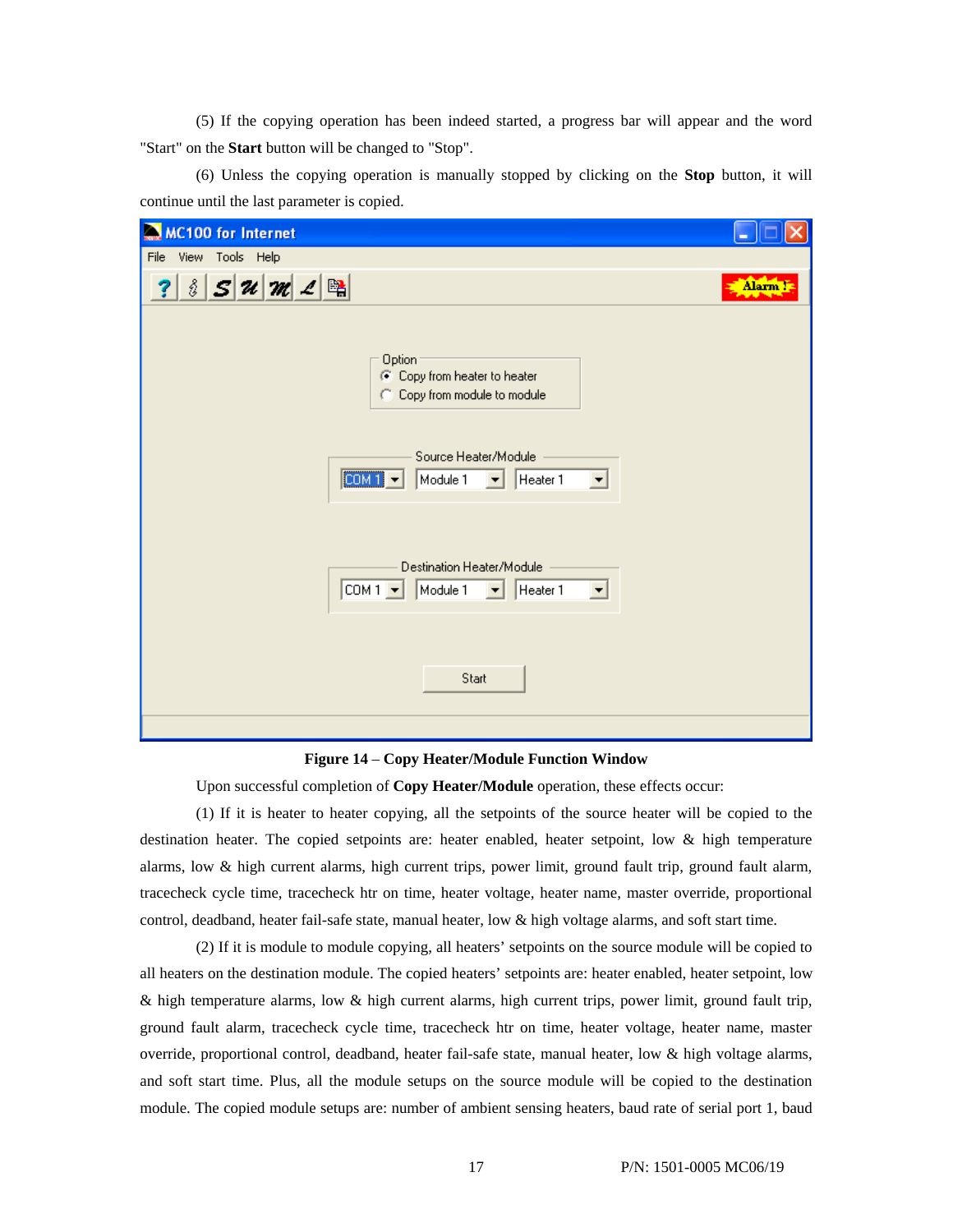(5) If the copying operation has been indeed started, a progress bar will appear and the word "Start" on the **Start** button will be changed to "Stop".

(6) Unless the copying operation is manually stopped by clicking on the **Stop** button, it will continue until the last parameter is copied.

| <b>MC100 for Internet</b>                                                                                                                    |         |
|----------------------------------------------------------------------------------------------------------------------------------------------|---------|
| File View Tools Help                                                                                                                         |         |
| $8 S $ $\mathcal{U}$ $ \mathcal{M} $ $\mathcal{L} $ $\mathbb{B}$<br>?                                                                        | Alarm ! |
| Option<br>C Copy from heater to heater<br>Copy from module to module                                                                         |         |
| Source Heater/Module<br>[COM1]<br>Heater 1<br>Module 1<br>ᆋ<br>◥                                                                             |         |
| Destination Heater/Module<br>$\boxed{\text{COM1} \cdot \text{ }}$<br>Module 1<br>Heater 1<br>$\blacktriangledown$<br>$\vert \bm{\tau} \vert$ |         |
| Start                                                                                                                                        |         |

#### **Figure 14** – **Copy Heater/Module Function Window**

Upon successful completion of **Copy Heater/Module** operation, these effects occur:

(1) If it is heater to heater copying, all the setpoints of the source heater will be copied to the destination heater. The copied setpoints are: heater enabled, heater setpoint, low & high temperature alarms, low & high current alarms, high current trips, power limit, ground fault trip, ground fault alarm, tracecheck cycle time, tracecheck htr on time, heater voltage, heater name, master override, proportional control, deadband, heater fail-safe state, manual heater, low & high voltage alarms, and soft start time.

(2) If it is module to module copying, all heaters' setpoints on the source module will be copied to all heaters on the destination module. The copied heaters' setpoints are: heater enabled, heater setpoint, low & high temperature alarms, low & high current alarms, high current trips, power limit, ground fault trip, ground fault alarm, tracecheck cycle time, tracecheck htr on time, heater voltage, heater name, master override, proportional control, deadband, heater fail-safe state, manual heater, low & high voltage alarms, and soft start time. Plus, all the module setups on the source module will be copied to the destination module. The copied module setups are: number of ambient sensing heaters, baud rate of serial port 1, baud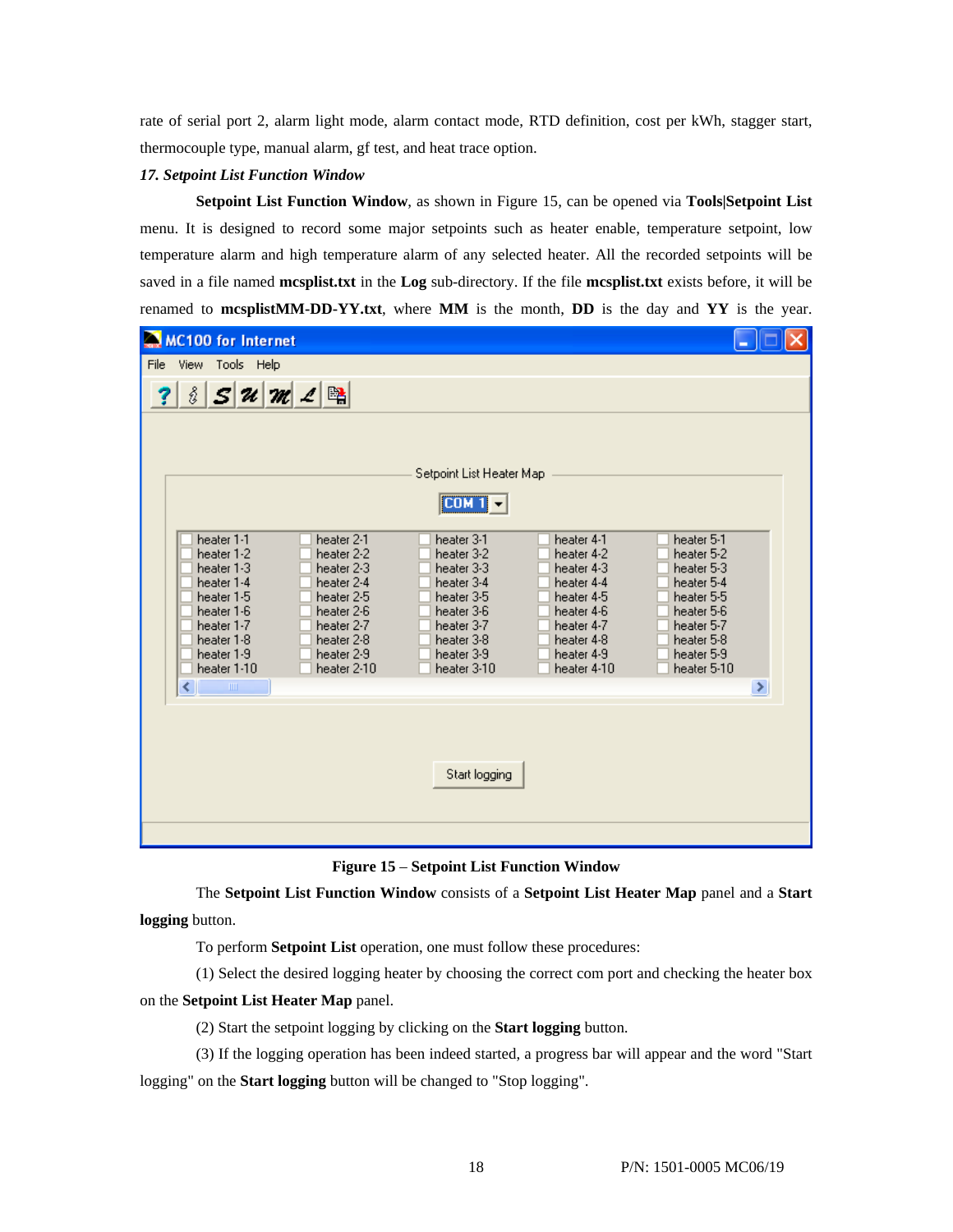rate of serial port 2, alarm light mode, alarm contact mode, RTD definition, cost per kWh, stagger start, thermocouple type, manual alarm, gf test, and heat trace option.

## *17. Setpoint List Function Window*

**Setpoint List Function Window**, as shown in Figure 15, can be opened via **Tools|Setpoint List**  menu. It is designed to record some major setpoints such as heater enable, temperature setpoint, low temperature alarm and high temperature alarm of any selected heater. All the recorded setpoints will be saved in a file named **mcsplist.txt** in the **Log** sub-directory. If the file **mcsplist.txt** exists before, it will be renamed to **mcsplistMM-DD-YY.txt**, where **MM** is the month, **DD** is the day and **YY** is the year.

| MC100 for Internet                                                                                                                                                                                                                                                                                                                                                                                                                                                                                                                                                                                                                                                                                                                                                                                          |
|-------------------------------------------------------------------------------------------------------------------------------------------------------------------------------------------------------------------------------------------------------------------------------------------------------------------------------------------------------------------------------------------------------------------------------------------------------------------------------------------------------------------------------------------------------------------------------------------------------------------------------------------------------------------------------------------------------------------------------------------------------------------------------------------------------------|
| File View Tools Help                                                                                                                                                                                                                                                                                                                                                                                                                                                                                                                                                                                                                                                                                                                                                                                        |
| $\frac{3}{2}$ S u m $2$ $\mathbb{B}$                                                                                                                                                                                                                                                                                                                                                                                                                                                                                                                                                                                                                                                                                                                                                                        |
| Setpoint List Heater Map<br>[CDM1]<br>heater 1-1<br>heater 2-1<br>heater 5-1<br>heater 3-1<br>heater 4-1<br>heater 1-2<br>heater 2-2<br>heater 3-2<br>heater 4-2<br>heater 5-2<br>heater 1-3<br>heater 2-3<br>heater 3-3<br>heater 4-3<br>heater 5-3<br>heater 1-4<br>heater 2-4<br>heater 3-4<br>heater 4-4<br>heater 5-4<br>heater 1-5<br>heater 2-5<br>heater 3-5<br>heater 4-5<br>heater 5-5<br>heater 1-6<br>heater 2-6<br>heater 3-6<br>heater 4-6<br>heater 5-6<br>heater 1-7<br>heater 2-7<br>heater 3-7<br>heater 4-7<br>heater 5-7<br>heater 1-8<br>heater 2-8<br>heater 3-8<br>heater 4-8<br>heater 5-8<br>heater 1-9<br>heater 2-9<br>heater 3-9<br>heater 4-9<br>heater 5-9<br>heater 1-10<br>heater 2-10<br>heater 3-10<br>heater 4-10<br>heater 5-10<br>$\rm HII$<br>×<br>∢<br>Start logging |

**Figure 15** – **Setpoint List Function Window** 

The **Setpoint List Function Window** consists of a **Setpoint List Heater Map** panel and a **Start logging** button.

To perform **Setpoint List** operation, one must follow these procedures:

(1) Select the desired logging heater by choosing the correct com port and checking the heater box on the **Setpoint List Heater Map** panel.

(2) Start the setpoint logging by clicking on the **Start logging** button.

(3) If the logging operation has been indeed started, a progress bar will appear and the word "Start logging" on the **Start logging** button will be changed to "Stop logging".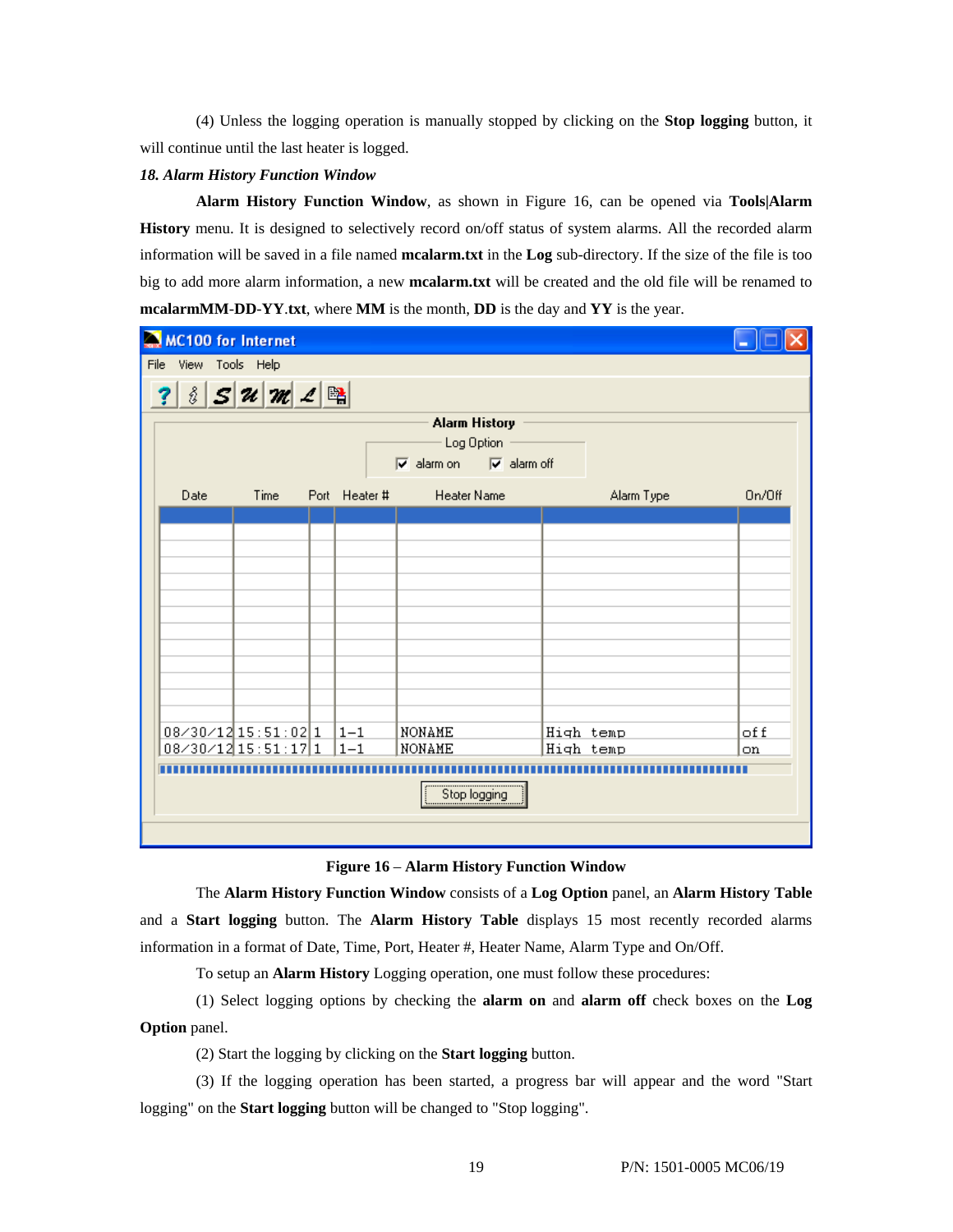(4) Unless the logging operation is manually stopped by clicking on the **Stop logging** button, it will continue until the last heater is logged.

#### *18. Alarm History Function Window*

**Alarm History Function Window**, as shown in Figure 16, can be opened via **Tools|Alarm History** menu. It is designed to selectively record on/off status of system alarms. All the recorded alarm information will be saved in a file named **mcalarm.txt** in the **Log** sub-directory. If the size of the file is too big to add more alarm information, a new **mcalarm.txt** will be created and the old file will be renamed to **mcalarmMM**-**DD**-**YY**.**txt**, where **MM** is the month, **DD** is the day and **YY** is the year.

| MC100 for Internet                  |               |                                                                                                                          |            |        |  |
|-------------------------------------|---------------|--------------------------------------------------------------------------------------------------------------------------|------------|--------|--|
| File View Tools Help                |               |                                                                                                                          |            |        |  |
| ? $35u$ $m$ $2$ $n$                 |               |                                                                                                                          |            |        |  |
|                                     |               | <b>Alarm History</b><br>Log Option<br>$\overline{\blacktriangledown}$ alarm on $\overline{\blacktriangledown}$ alarm off |            |        |  |
| Time<br>Date                        | Port Heater # | Heater Name                                                                                                              | Alarm Type | On/Off |  |
|                                     |               |                                                                                                                          |            |        |  |
|                                     |               |                                                                                                                          |            |        |  |
|                                     |               |                                                                                                                          |            |        |  |
|                                     |               |                                                                                                                          |            |        |  |
|                                     |               |                                                                                                                          |            |        |  |
|                                     |               |                                                                                                                          |            |        |  |
|                                     |               |                                                                                                                          |            |        |  |
|                                     |               |                                                                                                                          |            |        |  |
| $08 \times 30 \times 12$ 15:51:02 1 | $ 1 - 1 $     | NONAME                                                                                                                   | High temp  | of f   |  |
| $08 \times 30 \times 12$ 15:51:17 1 | $1 - 1$       | NONAME                                                                                                                   | High temp  | on     |  |
|                                     |               |                                                                                                                          |            |        |  |
|                                     |               | Stop logging                                                                                                             |            |        |  |
|                                     |               |                                                                                                                          |            |        |  |

**Figure 16** – **Alarm History Function Window** 

The **Alarm History Function Window** consists of a **Log Option** panel, an **Alarm History Table** and a **Start logging** button. The **Alarm History Table** displays 15 most recently recorded alarms information in a format of Date, Time, Port, Heater #, Heater Name, Alarm Type and On/Off.

To setup an **Alarm History** Logging operation, one must follow these procedures:

(1) Select logging options by checking the **alarm on** and **alarm off** check boxes on the **Log Option** panel.

(2) Start the logging by clicking on the **Start logging** button.

(3) If the logging operation has been started, a progress bar will appear and the word "Start logging" on the **Start logging** button will be changed to "Stop logging".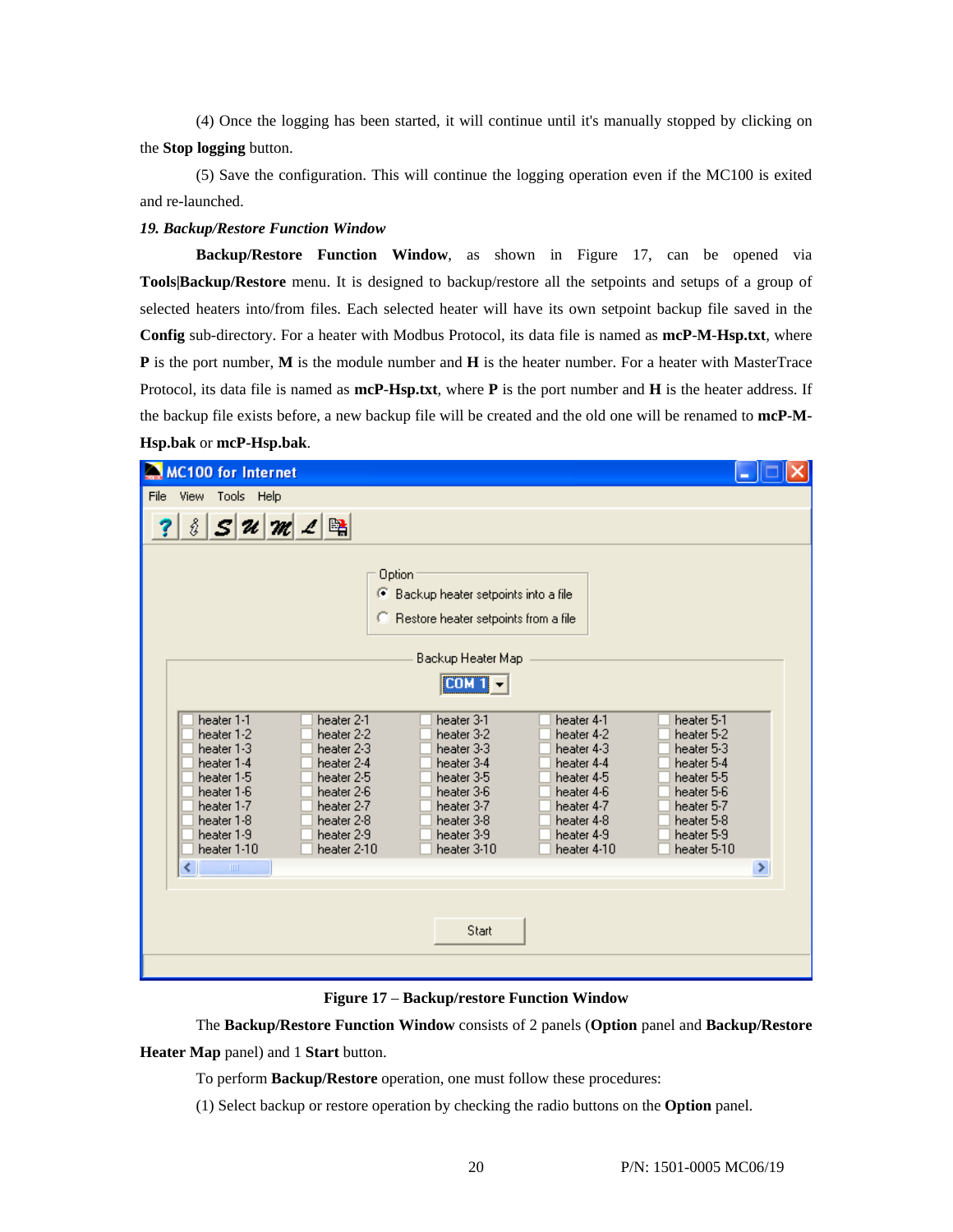(4) Once the logging has been started, it will continue until it's manually stopped by clicking on the **Stop logging** button.

(5) Save the configuration. This will continue the logging operation even if the MC100 is exited and re-launched.

#### *19. Backup/Restore Function Window*

**Backup/Restore Function Window**, as shown in Figure 17, can be opened via **Tools|Backup/Restore** menu. It is designed to backup/restore all the setpoints and setups of a group of selected heaters into/from files. Each selected heater will have its own setpoint backup file saved in the **Config** sub-directory. For a heater with Modbus Protocol, its data file is named as **mcP**-**M**-**Hsp.txt**, where **P** is the port number, **M** is the module number and **H** is the heater number. For a heater with MasterTrace Protocol, its data file is named as **mcP**-**Hsp.txt**, where **P** is the port number and **H** is the heater address. If the backup file exists before, a new backup file will be created and the old one will be renamed to **mcP-M-Hsp.bak** or **mcP-Hsp.bak**.

| MC100 for Internet                                                                                                                                                                                                                                                                                                                  |                                                                                                                                                                                                                                                                                                                                                                                                                            |                                                                                                                                                               |
|-------------------------------------------------------------------------------------------------------------------------------------------------------------------------------------------------------------------------------------------------------------------------------------------------------------------------------------|----------------------------------------------------------------------------------------------------------------------------------------------------------------------------------------------------------------------------------------------------------------------------------------------------------------------------------------------------------------------------------------------------------------------------|---------------------------------------------------------------------------------------------------------------------------------------------------------------|
| View Tools Help<br>File                                                                                                                                                                                                                                                                                                             |                                                                                                                                                                                                                                                                                                                                                                                                                            |                                                                                                                                                               |
| $ \mathcal{S} \mathcal{U} \mathcal{M} \mathcal{L} \mathbb{B}$<br>s.                                                                                                                                                                                                                                                                 |                                                                                                                                                                                                                                                                                                                                                                                                                            |                                                                                                                                                               |
| heater 1-1<br>heater 2-1<br>heater 1-2<br>heater 2-2<br>heater 2-3<br>heater 1-3<br>heater 1-4<br>heater 2-4<br>heater 2-5<br>heater 1-5<br>heater 1-6<br>heater 2-6<br>heater 1-7<br>heater 2-7<br>heater 1-8<br>heater 2-8<br>heater 1-9<br>heater 2-9<br>heater 1-10<br>heater 2-10<br>$\left\vert \cdot \right\vert$<br>$\;$ HH | Option<br>Backup heater setpoints into a file<br>Œ<br><sup>C</sup> Restore heater setpoints from a file<br>Backup Heater Map<br>[CDM1]<br>heater 4-1<br>heater 3-1<br>heater 3-2<br>heater 4-2<br>heater 3-3<br>heater 4-3<br>heater 3-4<br>heater 4-4<br>heater 3-5<br>heater 4-5<br>heater 3-6<br>heater 4-6<br>heater 3-7<br>heater 4-7<br>heater 3-8<br>heater 4-8<br>heater 3-9<br>heater 4-9<br>heater 3-10<br>Start | heater 5-1<br>heater 5-2<br>heater 5-3<br>heater 5-4<br>heater 5-5<br>heater 5-6<br>heater 5-7<br>heater 5-8<br>heater 5-9<br>heater 4-10<br>heater 5-10<br>× |
|                                                                                                                                                                                                                                                                                                                                     |                                                                                                                                                                                                                                                                                                                                                                                                                            |                                                                                                                                                               |

**Figure 17** – **Backup/restore Function Window** 

The **Backup/Restore Function Window** consists of 2 panels (**Option** panel and **Backup/Restore Heater Map** panel) and 1 **Start** button.

To perform **Backup/Restore** operation, one must follow these procedures:

(1) Select backup or restore operation by checking the radio buttons on the **Option** panel.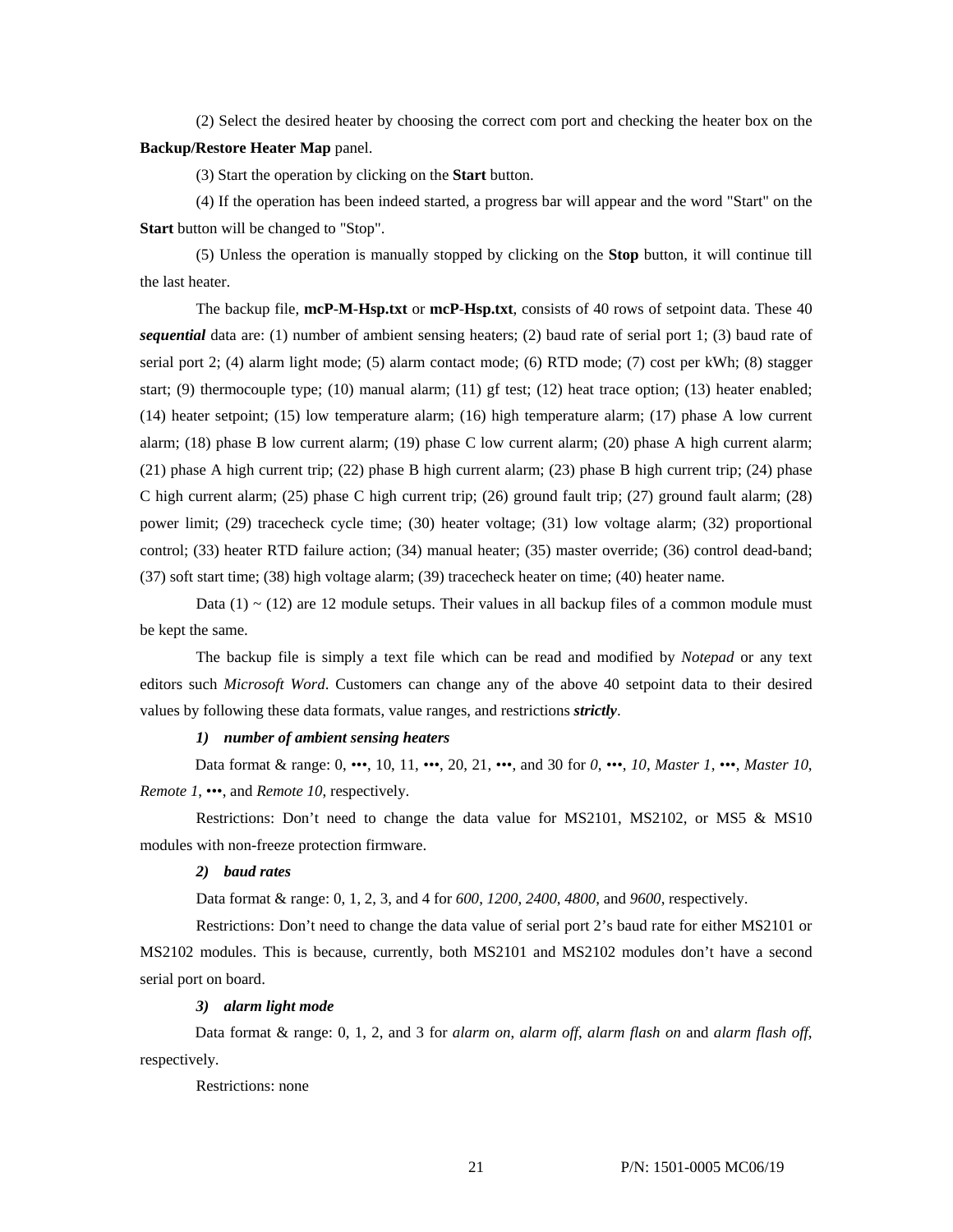(2) Select the desired heater by choosing the correct com port and checking the heater box on the **Backup/Restore Heater Map** panel.

(3) Start the operation by clicking on the **Start** button.

(4) If the operation has been indeed started, a progress bar will appear and the word "Start" on the **Start** button will be changed to "Stop".

(5) Unless the operation is manually stopped by clicking on the **Stop** button, it will continue till the last heater.

The backup file, **mcP**-**M**-**Hsp.txt** or **mcP**-**Hsp.txt**, consists of 40 rows of setpoint data. These 40 *sequential* data are: (1) number of ambient sensing heaters; (2) baud rate of serial port 1; (3) baud rate of serial port 2; (4) alarm light mode; (5) alarm contact mode; (6) RTD mode; (7) cost per kWh; (8) stagger start; (9) thermocouple type; (10) manual alarm; (11) gf test; (12) heat trace option; (13) heater enabled; (14) heater setpoint; (15) low temperature alarm; (16) high temperature alarm; (17) phase A low current alarm; (18) phase B low current alarm; (19) phase C low current alarm; (20) phase A high current alarm; (21) phase A high current trip; (22) phase B high current alarm; (23) phase B high current trip; (24) phase C high current alarm; (25) phase C high current trip; (26) ground fault trip; (27) ground fault alarm; (28) power limit; (29) tracecheck cycle time; (30) heater voltage; (31) low voltage alarm; (32) proportional control; (33) heater RTD failure action; (34) manual heater; (35) master override; (36) control dead-band; (37) soft start time; (38) high voltage alarm; (39) tracecheck heater on time; (40) heater name.

Data (1)  $\sim$  (12) are 12 module setups. Their values in all backup files of a common module must be kept the same.

The backup file is simply a text file which can be read and modified by *Notepad* or any text editors such *Microsoft Word*. Customers can change any of the above 40 setpoint data to their desired values by following these data formats, value ranges, and restrictions *strictly*.

#### *1) number of ambient sensing heaters*

Data format & range: 0, •••, 10, 11, •••, 20, 21, •••, and 30 for *0*, •••, *10*, *Master 1*, •••, *Master 10*, *Remote 1*, •••, and *Remote 10*, respectively.

Restrictions: Don't need to change the data value for MS2101, MS2102, or MS5 & MS10 modules with non-freeze protection firmware.

## *2) baud rates*

Data format & range: 0, 1, 2, 3, and 4 for *600*, *1200*, *2400*, *4800*, and *9600*, respectively.

Restrictions: Don't need to change the data value of serial port 2's baud rate for either MS2101 or MS2102 modules. This is because, currently, both MS2101 and MS2102 modules don't have a second serial port on board.

#### *3) alarm light mode*

Data format & range: 0, 1, 2, and 3 for *alarm on*, *alarm off*, *alarm flash on* and *alarm flash off*, respectively.

Restrictions: none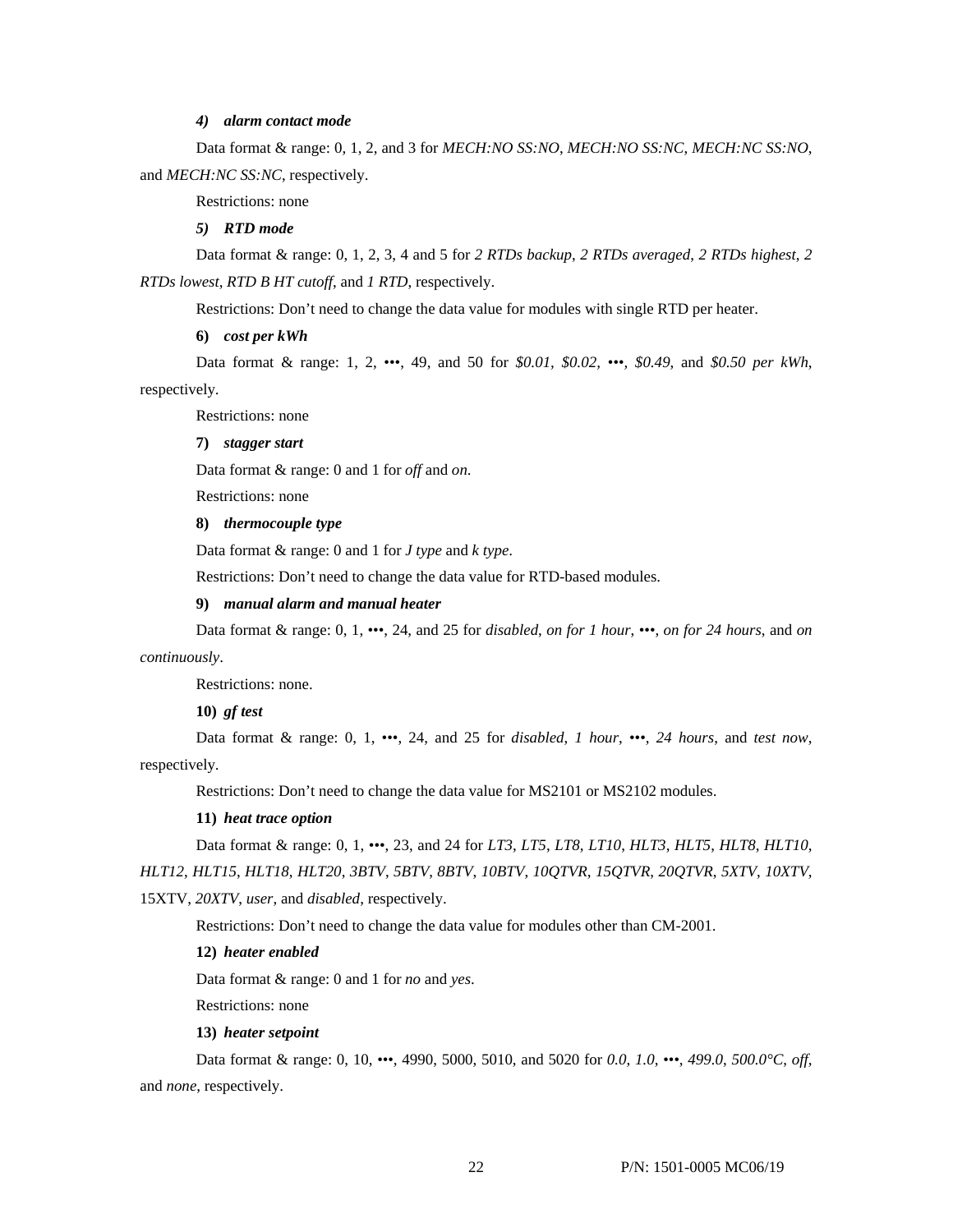## *4) alarm contact mode*

Data format & range: 0, 1, 2, and 3 for *MECH:NO SS:NO*, *MECH:NO SS:NC*, *MECH:NC SS:NO*, and *MECH:NC SS:NC*, respectively.

Restrictions: none

#### *5) RTD mode*

Data format & range: 0, 1, 2, 3, 4 and 5 for *2 RTDs backup*, *2 RTDs averaged*, *2 RTDs highest*, *2 RTDs lowest*, *RTD B HT cutoff*, and *1 RTD*, respectively.

Restrictions: Don't need to change the data value for modules with single RTD per heater.

**6)** *cost per kWh*

Data format & range: 1, 2, •••, 49, and 50 for *\$0.01, \$0.02, •••, \$0.49*, and *\$0.50 per kWh*, respectively.

Restrictions: none

**7)** *stagger start*

Data format & range: 0 and 1 for *off* and *on*.

Restrictions: none

## **8)** *thermocouple type*

Data format & range: 0 and 1 for *J type* and *k type*.

Restrictions: Don't need to change the data value for RTD-based modules.

#### **9)** *manual alarm and manual heater*

Data format & range: 0, 1, •••, 24, and 25 for *disabled*, *on for 1 hour*, •••, *on for 24 hours*, and *on continuously*.

Restrictions: none.

**10)** *gf test*

Data format & range: 0, 1, •••, 24, and 25 for *disabled*, *1 hour*, •••, *24 hours*, and *test now*, respectively.

Restrictions: Don't need to change the data value for MS2101 or MS2102 modules.

## **11)** *heat trace option*

Data format & range: 0, 1, •••, 23, and 24 for *LT3*, *LT5*, *LT8*, *LT10*, *HLT3*, *HLT5*, *HLT8*, *HLT10*, *HLT12*, *HLT15*, *HLT18*, *HLT20*, *3BTV*, *5BTV*, *8BTV*, *10BTV*, *10QTVR*, *15QTVR*, *20QTVR*, *5XTV*, *10XTV*,

15XTV, *20XTV*, *user*, and *disabled*, respectively.

Restrictions: Don't need to change the data value for modules other than CM-2001.

## **12)** *heater enabled*

Data format & range: 0 and 1 for *no* and *yes*.

Restrictions: none

#### **13)** *heater setpoint*

Data format & range: 0, 10, •••, 4990, 5000, 5010, and 5020 for *0.0*, *1.0*, *•••*, *499.0*, *500.0°C*, *off*, and *none*, respectively.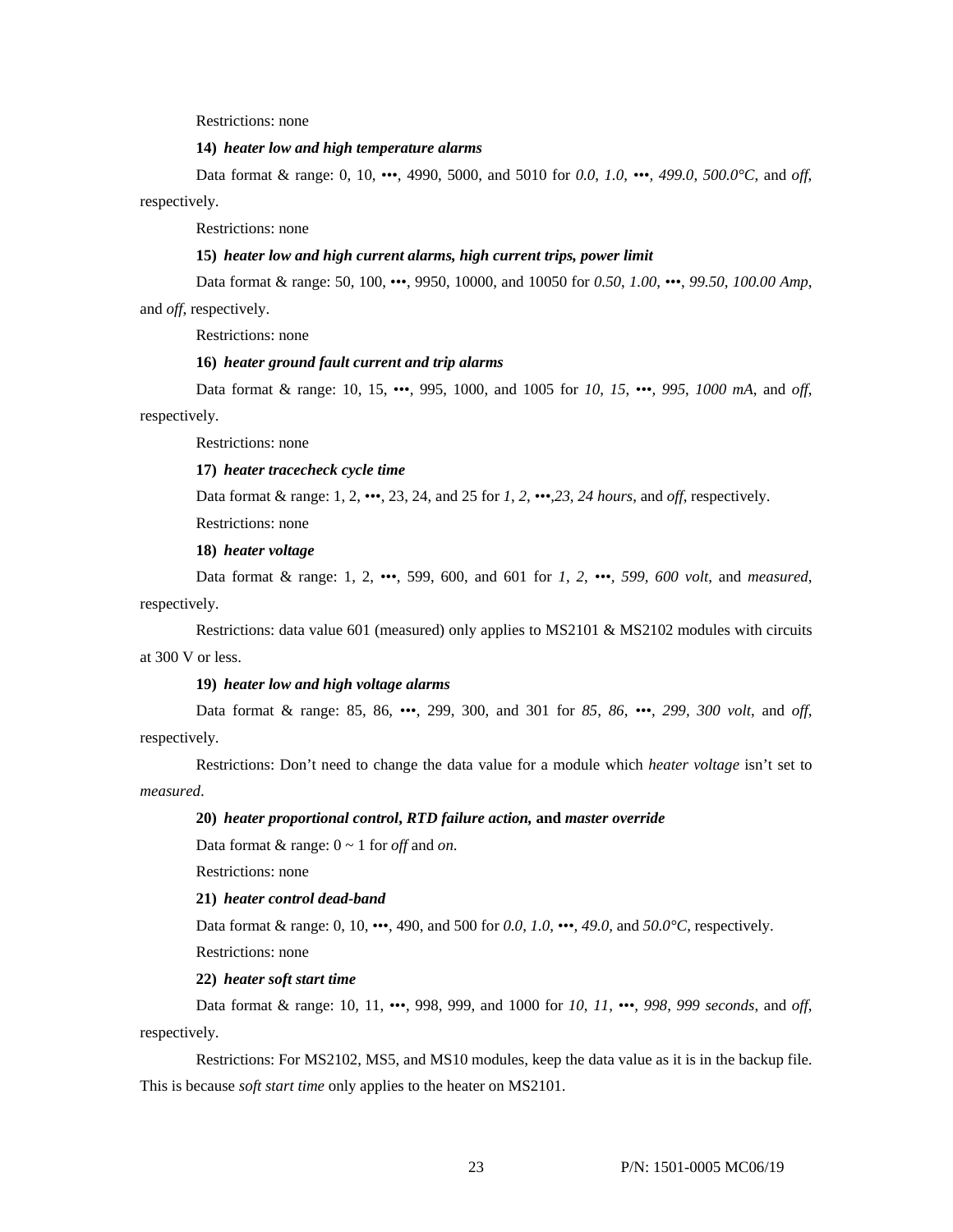Restrictions: none

#### **14)** *heater low and high temperature alarms*

Data format & range: 0, 10, •••, 4990, 5000, and 5010 for *0.0*, *1.0*, *•••, 499.0*, *500.0°C*, and *off*, respectively.

Restrictions: none

## **15)** *heater low and high current alarms, high current trips, power limit*

Data format & range: 50, 100, •••, 9950, 10000, and 10050 for *0.50*, *1.00*, *•••*, *99.50*, *100.00 Amp*,

and *off*, respectively.

Restrictions: none

## **16)** *heater ground fault current and trip alarms*

Data format & range: 10, 15, •••, 995, 1000, and 1005 for *10*, *15*, *•••, 995*, *1000 mA*, and *off*, respectively.

Restrictions: none

## **17)** *heater tracecheck cycle time*

Data format & range: 1, 2, •••, 23, 24, and 25 for *1*, *2*, *•••,23, 24 hours*, and *off*, respectively.

Restrictions: none

**18)** *heater voltage*

Data format & range: 1, 2, •••, 599, 600, and 601 for *1*, *2*, *•••, 599, 600 volt*, and *measured*, respectively.

Restrictions: data value 601 (measured) only applies to MS2101 & MS2102 modules with circuits at 300 V or less.

## **19)** *heater low and high voltage alarms*

Data format & range: 85, 86, •••, 299, 300, and 301 for *85*, *86*, *•••, 299, 300 volt*, and *off*, respectively.

Restrictions: Don't need to change the data value for a module which *heater voltage* isn't set to *measured*.

#### **20)** *heater proportional control***,** *RTD failure action,* **and** *master override*

Data format & range: 0 ~ 1 for *off* and *on*.

Restrictions: none

## **21)** *heater control dead-band*

Data format & range: 0, 10, •••, 490, and 500 for *0.0*, *1.0*, *•••, 49.0,* and *50.0°C*, respectively.

Restrictions: none

#### **22)** *heater soft start time*

Data format & range: 10, 11, •••, 998, 999, and 1000 for *10*, *11*, *•••, 998*, *999 seconds*, and *off*, respectively.

Restrictions: For MS2102, MS5, and MS10 modules, keep the data value as it is in the backup file. This is because *soft start time* only applies to the heater on MS2101.